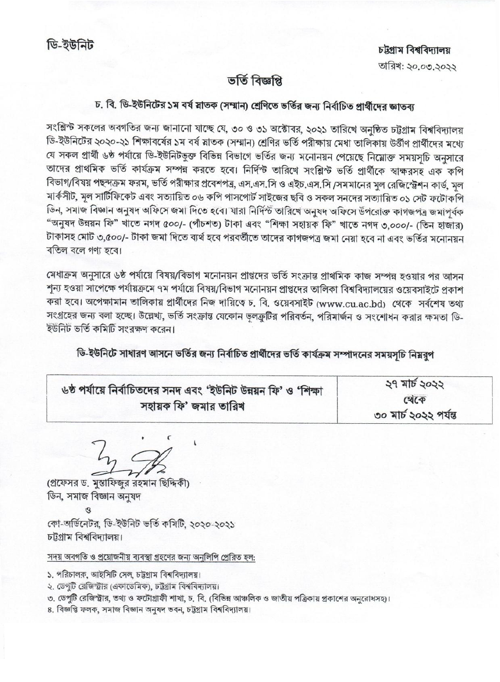## ভৰ্তি বিজ্ঞপ্তি

## চ. বি. ডি-ইউনিটের ১ম বর্ষ স্নাতক (সম্মান) শ্রেণিতে ভর্তির জন্য নির্বাচিত প্রার্থীদের জ্ঞাতব্য

সংশ্লিন্ট সকলের অবগতির জন্য জানানো যাচ্ছে যে, ৩০ ও ৩১ অক্টোবর, ২০২১ তারিখে অনুষ্ঠিত চট্টগ্রাম বিশ্ববিদ্যালয় ডি-ইউনিটের ২০২০-২১ শিক্ষাবর্ষের ১ম বর্ষ স্নাতক (সম্মান) শ্রেণির ভর্তি পরীক্ষায় মেধা তালিকায় উর্ত্তীণ প্রার্থীদের মধ্যে যে সকল প্রার্থী ৬ষ্ঠ পর্যায়ে ডি-ইউনিটভুক্ত বিভিন্ন বিভাগে ভর্তির জন্য মনোনয়ন পেয়েছে নিম্নোক্ত সময়সূচি অনুসারে তাদের প্রাথমিক ভর্তি কার্যক্রম সম্পন্ন করতে হবে। নির্দিন্ট তারিখে সংশ্লিন্ট ভর্তি প্রার্থীকে স্বাক্ষরসহ এক কপি বিভাগ/বিষয় পছন্দক্রম ফরম, ভর্তি পরীক্ষার প্রবেশপত্র, এস.এস.সি ও এইচ.এস.সি /সমমানের মুল রেজিস্ট্রেশন কার্ড, মূল মার্কসীট, মূল সাটিফিকেট এবং সত্যায়িত ০৬ কপি পাসপোর্ট সাইজের ছবি ও সকল সনদের সত্যায়িত ০১ সেট ফটোকপি ডিন, সমাজ বিজ্ঞান অনুষদ অফিসে জমা দিতে হবে। যারা নির্দিস্ট তারিখে অনুষদ অফিসে উপরোক্ত কাগজপত্র জমাপূর্বক "অনুষদ উন্নয়ন ফি" খাতে নগদ ৫০০/- (পাঁচশত) টাকা এবং "শিক্ষা সহায়ক ফি" খাতে নগদ ৩,০০০/- (তিন হাজার) টাকাসহ মোট ৩,৫০০/- টাকা জমা দিতে ব্যর্থ হবে পরবর্তীতে তাদের কাগজপত্র জমা নেয়া হবে না এবং ভর্তির মনোনয়ন বতিল বলে গণ্য হবে।

মেধাক্রম অনুসারে ৬ষ্ঠ পর্যায়ে বিষয়/বিভাগ মনোনয়ন প্রাপ্তদের ভর্তি সংক্রান্ত প্রাথমিক কাজ সম্পন্ন হওয়ার পর আসন শূন্য হওয়া সাপেক্ষে পর্যায়ক্রমে ৭ম পর্যায়ে বিষয়/বিভাগ মনোনয়ন প্রাপ্তদের তালিকা বিশ্ববিদ্যালয়ের ওয়েবসাইটে প্রকাশ করা হবে। অপেক্ষামান তালিকায় প্রার্থীদের নিজ দায়িত্বে চ. বি. ওয়েবসাইট (www.cu.ac.bd) থেকে সর্বশেষ তথ্য সংগ্রহের জন্য বলা হচ্ছে। উল্লেখ্য, ভর্তি সংক্রান্ত যেকোন ভুলক্রুটির পরিবর্তন, পরিমার্জন ও সংশোধন করার ক্ষমতা ডি-ইউনিট ভর্তি কমিটি সংরক্ষণ করেন।

## ডি-ইউনিটে সাধারণ আসনে ভর্তির জন্য নির্বাচিত প্রার্থীদের ভর্তি কার্যক্রম সম্পাদনের সময়সচি নিয়রূপ

| ৬ষ্ঠ পৰ্যায়ে নিৰ্বাচিতদের সনদ এবং 'ইউনিট উন্নয়ন ফি' ও 'শিক্ষা | ২৭ মার্চ ২০২২         |
|-----------------------------------------------------------------|-----------------------|
| সহায়ক ফি' জমার তারিখ                                           | C4CP                  |
|                                                                 | ৩০ মার্চ ২০২২ পর্যন্ত |

(প্রফেসর ড. মুস্তাফিজুর রহমান ছিদ্দিকী) ডিন, সমাজ বিজ্ঞান অনুষদ

13

কো-অর্ডিনেটর, ডি-ইউনিট ভর্তি কমিটি, ২০২০-২০২১ চট্টগ্ৰাম বিশ্ববিদ্যালয়।

সদয় অবগতি ও প্রয়োজনীয় ব্যবস্থা গ্রহণের জন্য অনুলিপি প্রেরিত হল:

১. পরিচালক, আইসিটি সেল, চট্টগ্রাম বিশ্ববিদ্যালয়।

- ২. ডেপুটি রেজিন্দ্রীর (একাডেমিক), চট্টগ্রাম বিশ্ববিদ্যালয়।
- ৩. ডেপুটি রেজিস্ট্রার, তথ্য ও ফটোগ্রাফী শাখা, চ. বি. (বিভিন্ন আঞ্চলিক ও জাতীয় পত্রিকায় প্রকাশের অনুরোধসহ)।
- ৪. বিজ্ঞপ্তি ফলক, সমাজ বিজ্ঞান অনুষদ ভবন, চট্টগ্ৰাম বিশ্ববিদ্যালয়।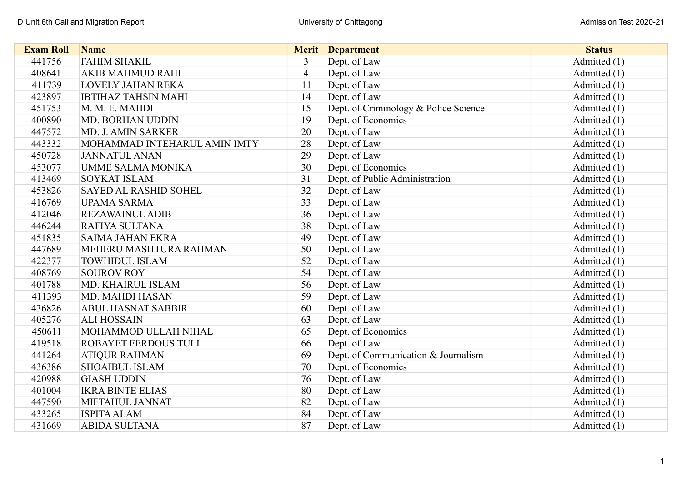| <b>Exam Roll</b> | <b>Name</b>                  |                | <b>Merit</b> Department               | <b>Status</b> |
|------------------|------------------------------|----------------|---------------------------------------|---------------|
| 441756           | <b>FAHIM SHAKIL</b>          | 3              | Dept. of Law                          | Admitted (1)  |
| 408641           | <b>AKIB MAHMUD RAHI</b>      | $\overline{4}$ | Dept. of Law                          | Admitted (1)  |
| 411739           | <b>LOVELY JAHAN REKA</b>     | 11             | Dept. of Law                          | Admitted (1)  |
| 423897           | <b>IBTIHAZ TAHSIN MAHI</b>   | 14             | Dept. of Law                          | Admitted (1)  |
| 451753           | M. M. E. MAHDI               | 15             | Dept. of Criminology & Police Science | Admitted (1)  |
| 400890           | <b>MD. BORHAN UDDIN</b>      | 19             | Dept. of Economics                    | Admitted (1)  |
| 447572           | <b>MD. J. AMIN SARKER</b>    | 20             | Dept. of Law                          | Admitted (1)  |
| 443332           | MOHAMMAD INTEHARUL AMIN IMTY | 28             | Dept. of Law                          | Admitted (1)  |
| 450728           | <b>JANNATUL ANAN</b>         | 29             | Dept. of Law                          | Admitted (1)  |
| 453077           | <b>UMME SALMA MONIKA</b>     | 30             | Dept. of Economics                    | Admitted (1)  |
| 413469           | <b>SOYKAT ISLAM</b>          | 31             | Dept. of Public Administration        | Admitted (1)  |
| 453826           | SAYED AL RASHID SOHEL        | 32             | Dept. of Law                          | Admitted (1)  |
| 416769           | <b>UPAMA SARMA</b>           | 33             | Dept. of Law                          | Admitted (1)  |
| 412046           | <b>REZAWAINUL ADIB</b>       | 36             | Dept. of Law                          | Admitted (1)  |
| 446244           | RAFIYA SULTANA               | 38             | Dept. of Law                          | Admitted (1)  |
| 451835           | <b>SAIMA JAHAN EKRA</b>      | 49             | Dept. of Law                          | Admitted (1)  |
| 447689           | MEHERU MASHTURA RAHMAN       | 50             | Dept. of Law                          | Admitted (1)  |
| 422377           | <b>TOWHIDUL ISLAM</b>        | 52             | Dept. of Law                          | Admitted (1)  |
| 408769           | <b>SOUROV ROY</b>            | 54             | Dept. of Law                          | Admitted (1)  |
| 401788           | MD. KHAIRUL ISLAM            | 56             | Dept. of Law                          | Admitted (1)  |
| 411393           | <b>MD. MAHDI HASAN</b>       | 59             | Dept. of Law                          | Admitted (1)  |
| 436826           | <b>ABUL HASNAT SABBIR</b>    | 60             | Dept. of Law                          | Admitted (1)  |
| 405276           | <b>ALI HOSSAIN</b>           | 63             | Dept. of Law                          | Admitted (1)  |
| 450611           | MOHAMMOD ULLAH NIHAL         | 65             | Dept. of Economics                    | Admitted (1)  |
| 419518           | ROBAYET FERDOUS TULI         | 66             | Dept. of Law                          | Admitted (1)  |
| 441264           | <b>ATIQUR RAHMAN</b>         | 69             | Dept. of Communication & Journalism   | Admitted (1)  |
| 436386           | <b>SHOAIBUL ISLAM</b>        | 70             | Dept. of Economics                    | Admitted (1)  |
| 420988           | <b>GIASH UDDIN</b>           | 76             | Dept. of Law                          | Admitted (1)  |
| 401004           | <b>IKRA BINTE ELIAS</b>      | 80             | Dept. of Law                          | Admitted (1)  |
| 447590           | MIFTAHUL JANNAT              | 82             | Dept. of Law                          | Admitted (1)  |
| 433265           | <b>ISPITA ALAM</b>           | 84             | Dept. of Law                          | Admitted (1)  |
| 431669           | <b>ABIDA SULTANA</b>         | 87             | Dept. of Law                          | Admitted (1)  |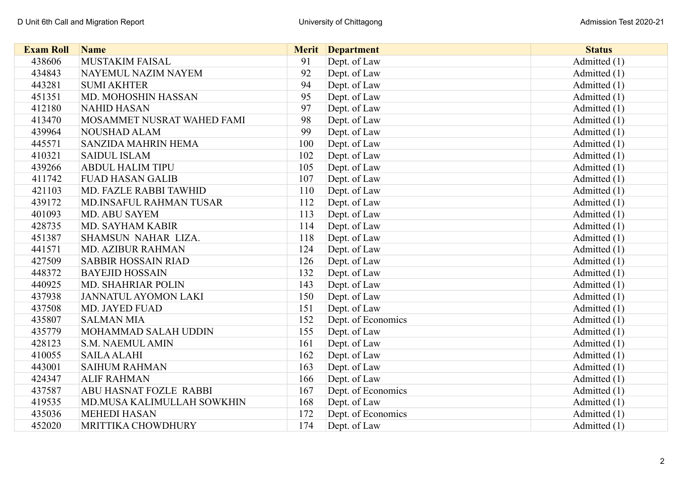| <b>Exam Roll</b> | <b>Name</b>                 | <b>Merit</b> | <b>Department</b>  | <b>Status</b>  |
|------------------|-----------------------------|--------------|--------------------|----------------|
| 438606           | <b>MUSTAKIM FAISAL</b>      | 91           | Dept. of Law       | Admitted $(1)$ |
| 434843           | NAYEMUL NAZIM NAYEM         | 92           | Dept. of Law       | Admitted $(1)$ |
| 443281           | <b>SUMI AKHTER</b>          | 94           | Dept. of Law       | Admitted $(1)$ |
| 451351           | MD. MOHOSHIN HASSAN         | 95           | Dept. of Law       | Admitted (1)   |
| 412180           | <b>NAHID HASAN</b>          | 97           | Dept. of Law       | Admitted $(1)$ |
| 413470           | MOSAMMET NUSRAT WAHED FAMI  | 98           | Dept. of Law       | Admitted $(1)$ |
| 439964           | <b>NOUSHAD ALAM</b>         | 99           | Dept. of Law       | Admitted $(1)$ |
| 445571           | SANZIDA MAHRIN HEMA         | 100          | Dept. of Law       | Admitted $(1)$ |
| 410321           | <b>SAIDUL ISLAM</b>         | 102          | Dept. of Law       | Admitted (1)   |
| 439266           | <b>ABDUL HALIM TIPU</b>     | 105          | Dept. of Law       | Admitted $(1)$ |
| 411742           | <b>FUAD HASAN GALIB</b>     | 107          | Dept. of Law       | Admitted $(1)$ |
| 421103           | MD. FAZLE RABBI TAWHID      | 110          | Dept. of Law       | Admitted $(1)$ |
| 439172           | MD.INSAFUL RAHMAN TUSAR     | 112          | Dept. of Law       | Admitted $(1)$ |
| 401093           | <b>MD. ABU SAYEM</b>        | 113          | Dept. of Law       | Admitted (1)   |
| 428735           | MD. SAYHAM KABIR            | 114          | Dept. of Law       | Admitted (1)   |
| 451387           | SHAMSUN NAHAR LIZA.         | 118          | Dept. of Law       | Admitted (1)   |
| 441571           | <b>MD. AZIBUR RAHMAN</b>    | 124          | Dept. of Law       | Admitted $(1)$ |
| 427509           | <b>SABBIR HOSSAIN RIAD</b>  | 126          | Dept. of Law       | Admitted $(1)$ |
| 448372           | <b>BAYEJID HOSSAIN</b>      | 132          | Dept. of Law       | Admitted (1)   |
| 440925           | <b>MD. SHAHRIAR POLIN</b>   | 143          | Dept. of Law       | Admitted $(1)$ |
| 437938           | <b>JANNATUL AYOMON LAKI</b> | 150          | Dept. of Law       | Admitted (1)   |
| 437508           | MD. JAYED FUAD              | 151          | Dept. of Law       | Admitted (1)   |
| 435807           | <b>SALMAN MIA</b>           | 152          | Dept. of Economics | Admitted $(1)$ |
| 435779           | MOHAMMAD SALAH UDDIN        | 155          | Dept. of Law       | Admitted $(1)$ |
| 428123           | <b>S.M. NAEMUL AMIN</b>     | 161          | Dept. of Law       | Admitted $(1)$ |
| 410055           | <b>SAILA ALAHI</b>          | 162          | Dept. of Law       | Admitted $(1)$ |
| 443001           | <b>SAIHUM RAHMAN</b>        | 163          | Dept. of Law       | Admitted (1)   |
| 424347           | <b>ALIF RAHMAN</b>          | 166          | Dept. of Law       | Admitted (1)   |
| 437587           | ABU HASNAT FOZLE RABBI      | 167          | Dept. of Economics | Admitted (1)   |
| 419535           | MD.MUSA KALIMULLAH SOWKHIN  | 168          | Dept. of Law       | Admitted $(1)$ |
| 435036           | <b>MEHEDI HASAN</b>         | 172          | Dept. of Economics | Admitted (1)   |
| 452020           | MRITTIKA CHOWDHURY          | 174          | Dept. of Law       | Admitted $(1)$ |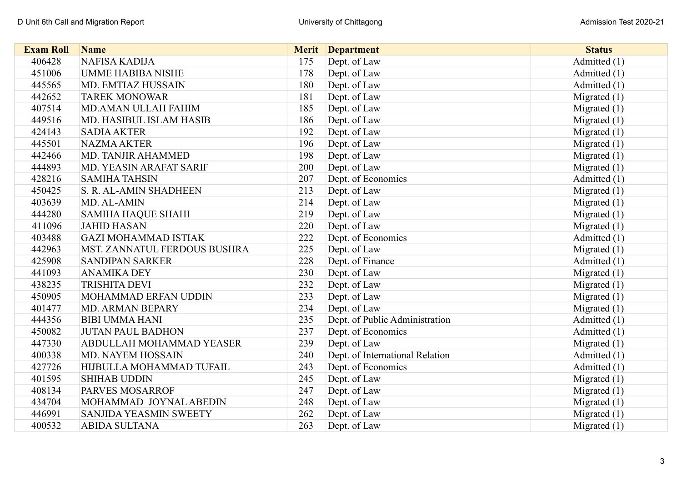| <b>Exam Roll</b> | <b>Name</b>                  | <b>Merit</b> | <b>Department</b>               | <b>Status</b>  |
|------------------|------------------------------|--------------|---------------------------------|----------------|
| 406428           | <b>NAFISA KADIJA</b>         | 175          | Dept. of Law                    | Admitted (1)   |
| 451006           | <b>UMME HABIBA NISHE</b>     | 178          | Dept. of Law                    | Admitted (1)   |
| 445565           | MD. EMTIAZ HUSSAIN           | 180          | Dept. of Law                    | Admitted (1)   |
| 442652           | <b>TAREK MONOWAR</b>         | 181          | Dept. of Law                    | Migrated $(1)$ |
| 407514           | MD.AMAN ULLAH FAHIM          | 185          | Dept. of Law                    | Migrated $(1)$ |
| 449516           | MD. HASIBUL ISLAM HASIB      | 186          | Dept. of Law                    | Migrated $(1)$ |
| 424143           | <b>SADIA AKTER</b>           | 192          | Dept. of Law                    | Migrated $(1)$ |
| 445501           | <b>NAZMA AKTER</b>           | 196          | Dept. of Law                    | Migrated $(1)$ |
| 442466           | MD. TANJIR AHAMMED           | 198          | Dept. of Law                    | Migrated $(1)$ |
| 444893           | MD. YEASIN ARAFAT SARIF      | 200          | Dept. of Law                    | Migrated $(1)$ |
| 428216           | <b>SAMIHA TAHSIN</b>         | 207          | Dept. of Economics              | Admitted (1)   |
| 450425           | S. R. AL-AMIN SHADHEEN       | 213          | Dept. of Law                    | Migrated $(1)$ |
| 403639           | MD. AL-AMIN                  | 214          | Dept. of Law                    | Migrated $(1)$ |
| 444280           | <b>SAMIHA HAQUE SHAHI</b>    | 219          | Dept. of Law                    | Migrated $(1)$ |
| 411096           | <b>JAHID HASAN</b>           | 220          | Dept. of Law                    | Migrated $(1)$ |
| 403488           | <b>GAZI MOHAMMAD ISTIAK</b>  | 222          | Dept. of Economics              | Admitted (1)   |
| 442963           | MST. ZANNATUL FERDOUS BUSHRA | 225          | Dept. of Law                    | Migrated $(1)$ |
| 425908           | <b>SANDIPAN SARKER</b>       | 228          | Dept. of Finance                | Admitted (1)   |
| 441093           | <b>ANAMIKA DEY</b>           | 230          | Dept. of Law                    | Migrated $(1)$ |
| 438235           | <b>TRISHITA DEVI</b>         | 232          | Dept. of Law                    | Migrated $(1)$ |
| 450905           | MOHAMMAD ERFAN UDDIN         | 233          | Dept. of Law                    | Migrated $(1)$ |
| 401477           | MD. ARMAN BEPARY             | 234          | Dept. of Law                    | Migrated $(1)$ |
| 444356           | <b>BIBI UMMA HANI</b>        | 235          | Dept. of Public Administration  | Admitted (1)   |
| 450082           | <b>JUTAN PAUL BADHON</b>     | 237          | Dept. of Economics              | Admitted (1)   |
| 447330           | ABDULLAH MOHAMMAD YEASER     | 239          | Dept. of Law                    | Migrated $(1)$ |
| 400338           | MD. NAYEM HOSSAIN            | 240          | Dept. of International Relation | Admitted (1)   |
| 427726           | HIJBULLA MOHAMMAD TUFAIL     | 243          | Dept. of Economics              | Admitted (1)   |
| 401595           | <b>SHIHAB UDDIN</b>          | 245          | Dept. of Law                    | Migrated $(1)$ |
| 408134           | PARVES MOSARROF              | 247          | Dept. of Law                    | Migrated $(1)$ |
| 434704           | MOHAMMAD JOYNAL ABEDIN       | 248          | Dept. of Law                    | Migrated $(1)$ |
| 446991           | SANJIDA YEASMIN SWEETY       | 262          | Dept. of Law                    | Migrated $(1)$ |
| 400532           | <b>ABIDA SULTANA</b>         | 263          | Dept. of Law                    | Migrated $(1)$ |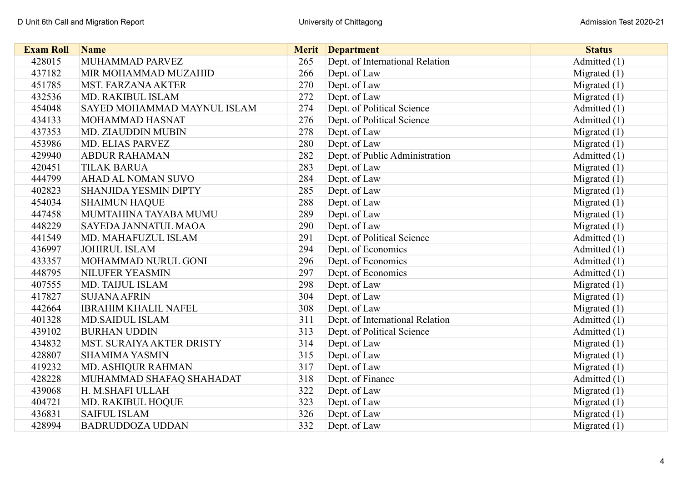| <b>Exam Roll</b> | <b>Name</b>                  | <b>Merit</b> | <b>Department</b>               | <b>Status</b>  |
|------------------|------------------------------|--------------|---------------------------------|----------------|
| 428015           | MUHAMMAD PARVEZ              | 265          | Dept. of International Relation | Admitted (1)   |
| 437182           | MIR MOHAMMAD MUZAHID         | 266          | Dept. of Law                    | Migrated $(1)$ |
| 451785           | <b>MST. FARZANA AKTER</b>    | 270          | Dept. of Law                    | Migrated $(1)$ |
| 432536           | <b>MD. RAKIBUL ISLAM</b>     | 272          | Dept. of Law                    | Migrated $(1)$ |
| 454048           | SAYED MOHAMMAD MAYNUL ISLAM  | 274          | Dept. of Political Science      | Admitted (1)   |
| 434133           | MOHAMMAD HASNAT              | 276          | Dept. of Political Science      | Admitted (1)   |
| 437353           | MD. ZIAUDDIN MUBIN           | 278          | Dept. of Law                    | Migrated $(1)$ |
| 453986           | MD. ELIAS PARVEZ             | 280          | Dept. of Law                    | Migrated $(1)$ |
| 429940           | <b>ABDUR RAHAMAN</b>         | 282          | Dept. of Public Administration  | Admitted (1)   |
| 420451           | <b>TILAK BARUA</b>           | 283          | Dept. of Law                    | Migrated $(1)$ |
| 444799           | <b>AHAD AL NOMAN SUVO</b>    | 284          | Dept. of Law                    | Migrated $(1)$ |
| 402823           | <b>SHANJIDA YESMIN DIPTY</b> | 285          | Dept. of Law                    | Migrated $(1)$ |
| 454034           | <b>SHAIMUN HAQUE</b>         | 288          | Dept. of Law                    | Migrated $(1)$ |
| 447458           | MUMTAHINA TAYABA MUMU        | 289          | Dept. of Law                    | Migrated $(1)$ |
| 448229           | SAYEDA JANNATUL MAOA         | 290          | Dept. of Law                    | Migrated $(1)$ |
| 441549           | MD. MAHAFUZUL ISLAM          | 291          | Dept. of Political Science      | Admitted (1)   |
| 436997           | <b>JOHIRUL ISLAM</b>         | 294          | Dept. of Economics              | Admitted (1)   |
| 433357           | MOHAMMAD NURUL GONI          | 296          | Dept. of Economics              | Admitted (1)   |
| 448795           | NILUFER YEASMIN              | 297          | Dept. of Economics              | Admitted (1)   |
| 407555           | MD. TAIJUL ISLAM             | 298          | Dept. of Law                    | Migrated $(1)$ |
| 417827           | <b>SUJANA AFRIN</b>          | 304          | Dept. of Law                    | Migrated $(1)$ |
| 442664           | <b>IBRAHIM KHALIL NAFEL</b>  | 308          | Dept. of Law                    | Migrated $(1)$ |
| 401328           | <b>MD.SAIDUL ISLAM</b>       | 311          | Dept. of International Relation | Admitted (1)   |
| 439102           | <b>BURHAN UDDIN</b>          | 313          | Dept. of Political Science      | Admitted (1)   |
| 434832           | MST. SURAIYA AKTER DRISTY    | 314          | Dept. of Law                    | Migrated $(1)$ |
| 428807           | <b>SHAMIMA YASMIN</b>        | 315          | Dept. of Law                    | Migrated $(1)$ |
| 419232           | MD. ASHIQUR RAHMAN           | 317          | Dept. of Law                    | Migrated $(1)$ |
| 428228           | MUHAMMAD SHAFAQ SHAHADAT     | 318          | Dept. of Finance                | Admitted (1)   |
| 439068           | H. M.SHAFI ULLAH             | 322          | Dept. of Law                    | Migrated $(1)$ |
| 404721           | MD. RAKIBUL HOQUE            | 323          | Dept. of Law                    | Migrated $(1)$ |
| 436831           | <b>SAIFUL ISLAM</b>          | 326          | Dept. of Law                    | Migrated (1)   |
| 428994           | <b>BADRUDDOZA UDDAN</b>      | 332          | Dept. of Law                    | Migrated $(1)$ |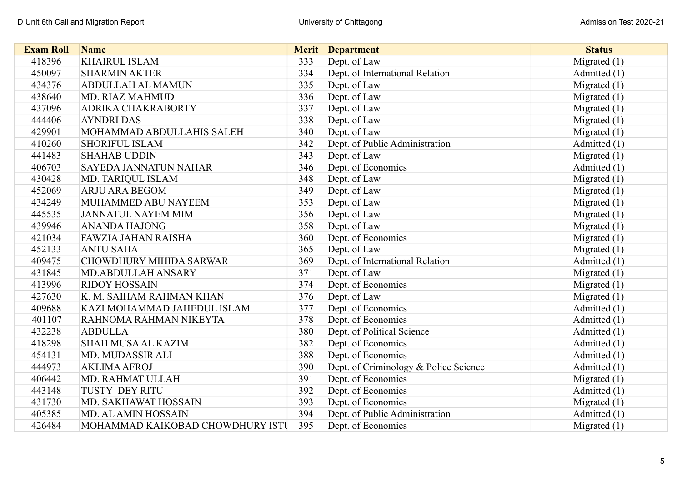| <b>Exam Roll</b> | <b>Name</b>                      | <b>Merit</b> | <b>Department</b>                     | <b>Status</b>  |
|------------------|----------------------------------|--------------|---------------------------------------|----------------|
| 418396           | <b>KHAIRUL ISLAM</b>             | 333          | Dept. of Law                          | Migrated (1)   |
| 450097           | <b>SHARMIN AKTER</b>             | 334          | Dept. of International Relation       | Admitted (1)   |
| 434376           | <b>ABDULLAH AL MAMUN</b>         | 335          | Dept. of Law                          | Migrated $(1)$ |
| 438640           | MD. RIAZ MAHMUD                  | 336          | Dept. of Law                          | Migrated (1)   |
| 437096           | ADRIKA CHAKRABORTY               | 337          | Dept. of Law                          | Migrated $(1)$ |
| 444406           | <b>AYNDRI DAS</b>                | 338          | Dept. of Law                          | Migrated $(1)$ |
| 429901           | MOHAMMAD ABDULLAHIS SALEH        | 340          | Dept. of Law                          | Migrated (1)   |
| 410260           | <b>SHORIFUL ISLAM</b>            | 342          | Dept. of Public Administration        | Admitted (1)   |
| 441483           | <b>SHAHAB UDDIN</b>              | 343          | Dept. of Law                          | Migrated $(1)$ |
| 406703           | <b>SAYEDA JANNATUN NAHAR</b>     | 346          | Dept. of Economics                    | Admitted (1)   |
| 430428           | MD. TARIQUL ISLAM                | 348          | Dept. of Law                          | Migrated $(1)$ |
| 452069           | <b>ARJU ARA BEGOM</b>            | 349          | Dept. of Law                          | Migrated $(1)$ |
| 434249           | MUHAMMED ABU NAYEEM              | 353          | Dept. of Law                          | Migrated $(1)$ |
| 445535           | <b>JANNATUL NAYEM MIM</b>        | 356          | Dept. of Law                          | Migrated $(1)$ |
| 439946           | <b>ANANDA HAJONG</b>             | 358          | Dept. of Law                          | Migrated $(1)$ |
| 421034           | FAWZIA JAHAN RAISHA              | 360          | Dept. of Economics                    | Migrated $(1)$ |
| 452133           | <b>ANTU SAHA</b>                 | 365          | Dept. of Law                          | Migrated $(1)$ |
| 409475           | <b>CHOWDHURY MIHIDA SARWAR</b>   | 369          | Dept. of International Relation       | Admitted (1)   |
| 431845           | MD.ABDULLAH ANSARY               | 371          | Dept. of Law                          | Migrated $(1)$ |
| 413996           | <b>RIDOY HOSSAIN</b>             | 374          | Dept. of Economics                    | Migrated $(1)$ |
| 427630           | K. M. SAIHAM RAHMAN KHAN         | 376          | Dept. of Law                          | Migrated $(1)$ |
| 409688           | KAZI MOHAMMAD JAHEDUL ISLAM      | 377          | Dept. of Economics                    | Admitted (1)   |
| 401107           | RAHNOMA RAHMAN NIKEYTA           | 378          | Dept. of Economics                    | Admitted (1)   |
| 432238           | <b>ABDULLA</b>                   | 380          | Dept. of Political Science            | Admitted (1)   |
| 418298           | <b>SHAH MUSA AL KAZIM</b>        | 382          | Dept. of Economics                    | Admitted (1)   |
| 454131           | MD. MUDASSIR ALI                 | 388          | Dept. of Economics                    | Admitted (1)   |
| 444973           | <b>AKLIMA AFROJ</b>              | 390          | Dept. of Criminology & Police Science | Admitted (1)   |
| 406442           | MD. RAHMAT ULLAH                 | 391          | Dept. of Economics                    | Migrated $(1)$ |
| 443148           | <b>TUSTY DEY RITU</b>            | 392          | Dept. of Economics                    | Admitted (1)   |
| 431730           | MD. SAKHAWAT HOSSAIN             | 393          | Dept. of Economics                    | Migrated $(1)$ |
| 405385           | MD. AL AMIN HOSSAIN              | 394          | Dept. of Public Administration        | Admitted (1)   |
| 426484           | MOHAMMAD KAIKOBAD CHOWDHURY ISTU | 395          | Dept. of Economics                    | Migrated $(1)$ |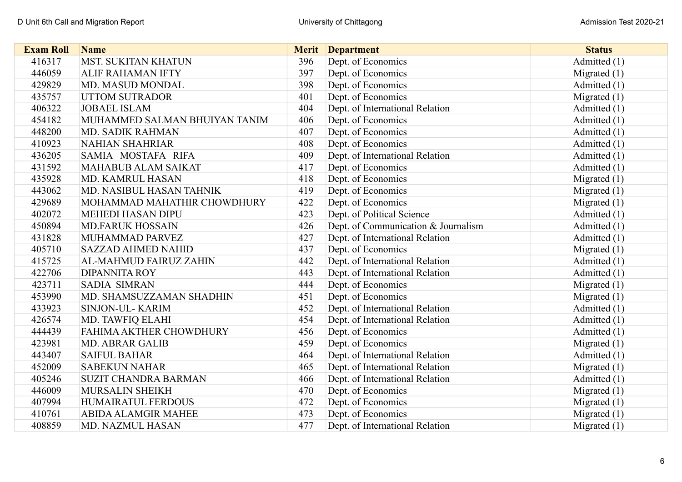| <b>Exam Roll</b> | <b>Name</b>                   |     | <b>Merit</b> Department             | <b>Status</b>  |
|------------------|-------------------------------|-----|-------------------------------------|----------------|
| 416317           | <b>MST. SUKITAN KHATUN</b>    | 396 | Dept. of Economics                  | Admitted (1)   |
| 446059           | <b>ALIF RAHAMAN IFTY</b>      | 397 | Dept. of Economics                  | Migrated $(1)$ |
| 429829           | MD. MASUD MONDAL              | 398 | Dept. of Economics                  | Admitted (1)   |
| 435757           | <b>UTTOM SUTRADOR</b>         | 401 | Dept. of Economics                  | Migrated $(1)$ |
| 406322           | <b>JOBAEL ISLAM</b>           | 404 | Dept. of International Relation     | Admitted (1)   |
| 454182           | MUHAMMED SALMAN BHUIYAN TANIM | 406 | Dept. of Economics                  | Admitted (1)   |
| 448200           | MD. SADIK RAHMAN              | 407 | Dept. of Economics                  | Admitted (1)   |
| 410923           | <b>NAHIAN SHAHRIAR</b>        | 408 | Dept. of Economics                  | Admitted (1)   |
| 436205           | SAMIA MOSTAFA RIFA            | 409 | Dept. of International Relation     | Admitted (1)   |
| 431592           | <b>MAHABUB ALAM SAIKAT</b>    | 417 | Dept. of Economics                  | Admitted (1)   |
| 435928           | MD. KAMRUL HASAN              | 418 | Dept. of Economics                  | Migrated $(1)$ |
| 443062           | MD. NASIBUL HASAN TAHNIK      | 419 | Dept. of Economics                  | Migrated $(1)$ |
| 429689           | MOHAMMAD MAHATHIR CHOWDHURY   | 422 | Dept. of Economics                  | Migrated $(1)$ |
| 402072           | <b>MEHEDI HASAN DIPU</b>      | 423 | Dept. of Political Science          | Admitted (1)   |
| 450894           | <b>MD.FARUK HOSSAIN</b>       | 426 | Dept. of Communication & Journalism | Admitted (1)   |
| 431828           | MUHAMMAD PARVEZ               | 427 | Dept. of International Relation     | Admitted (1)   |
| 405710           | <b>SAZZAD AHMED NAHID</b>     | 437 | Dept. of Economics                  | Migrated $(1)$ |
| 415725           | AL-MAHMUD FAIRUZ ZAHIN        | 442 | Dept. of International Relation     | Admitted (1)   |
| 422706           | <b>DIPANNITA ROY</b>          | 443 | Dept. of International Relation     | Admitted $(1)$ |
| 423711           | <b>SADIA SIMRAN</b>           | 444 | Dept. of Economics                  | Migrated $(1)$ |
| 453990           | MD. SHAMSUZZAMAN SHADHIN      | 451 | Dept. of Economics                  | Migrated $(1)$ |
| 433923           | SINJON-UL-KARIM               | 452 | Dept. of International Relation     | Admitted (1)   |
| 426574           | MD. TAWFIQ ELAHI              | 454 | Dept. of International Relation     | Admitted (1)   |
| 444439           | FAHIMA AKTHER CHOWDHURY       | 456 | Dept. of Economics                  | Admitted (1)   |
| 423981           | <b>MD. ABRAR GALIB</b>        | 459 | Dept. of Economics                  | Migrated $(1)$ |
| 443407           | <b>SAIFUL BAHAR</b>           | 464 | Dept. of International Relation     | Admitted (1)   |
| 452009           | <b>SABEKUN NAHAR</b>          | 465 | Dept. of International Relation     | Migrated $(1)$ |
| 405246           | <b>SUZIT CHANDRA BARMAN</b>   | 466 | Dept. of International Relation     | Admitted $(1)$ |
| 446009           | MURSALIN SHEIKH               | 470 | Dept. of Economics                  | Migrated $(1)$ |
| 407994           | HUMAIRATUL FERDOUS            | 472 | Dept. of Economics                  | Migrated $(1)$ |
| 410761           | <b>ABIDA ALAMGIR MAHEE</b>    | 473 | Dept. of Economics                  | Migrated $(1)$ |
| 408859           | MD. NAZMUL HASAN              | 477 | Dept. of International Relation     | Migrated $(1)$ |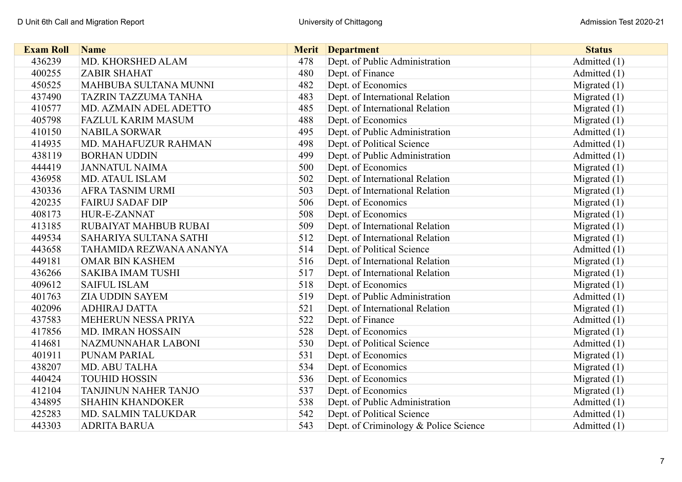| <b>Exam Roll</b> | <b>Name</b>                 |     | <b>Merit</b> Department               | <b>Status</b>  |
|------------------|-----------------------------|-----|---------------------------------------|----------------|
| 436239           | MD. KHORSHED ALAM           | 478 | Dept. of Public Administration        | Admitted (1)   |
| 400255           | <b>ZABIR SHAHAT</b>         | 480 | Dept. of Finance                      | Admitted (1)   |
| 450525           | MAHBUBA SULTANA MUNNI       | 482 | Dept. of Economics                    | Migrated $(1)$ |
| 437490           | <b>TAZRIN TAZZUMA TANHA</b> | 483 | Dept. of International Relation       | Migrated $(1)$ |
| 410577           | MD. AZMAIN ADEL ADETTO      | 485 | Dept. of International Relation       | Migrated $(1)$ |
| 405798           | <b>FAZLUL KARIM MASUM</b>   | 488 | Dept. of Economics                    | Migrated $(1)$ |
| 410150           | <b>NABILA SORWAR</b>        | 495 | Dept. of Public Administration        | Admitted (1)   |
| 414935           | MD. MAHAFUZUR RAHMAN        | 498 | Dept. of Political Science            | Admitted (1)   |
| 438119           | <b>BORHAN UDDIN</b>         | 499 | Dept. of Public Administration        | Admitted (1)   |
| 444419           | <b>JANNATUL NAIMA</b>       | 500 | Dept. of Economics                    | Migrated $(1)$ |
| 436958           | MD. ATAUL ISLAM             | 502 | Dept. of International Relation       | Migrated $(1)$ |
| 430336           | <b>AFRA TASNIM URMI</b>     | 503 | Dept. of International Relation       | Migrated $(1)$ |
| 420235           | <b>FAIRUJ SADAF DIP</b>     | 506 | Dept. of Economics                    | Migrated $(1)$ |
| 408173           | HUR-E-ZANNAT                | 508 | Dept. of Economics                    | Migrated $(1)$ |
| 413185           | RUBAIYAT MAHBUB RUBAI       | 509 | Dept. of International Relation       | Migrated $(1)$ |
| 449534           | SAHARIYA SULTANA SATHI      | 512 | Dept. of International Relation       | Migrated $(1)$ |
| 443658           | TAHAMIDA REZWANA ANANYA     | 514 | Dept. of Political Science            | Admitted (1)   |
| 449181           | <b>OMAR BIN KASHEM</b>      | 516 | Dept. of International Relation       | Migrated $(1)$ |
| 436266           | <b>SAKIBA IMAM TUSHI</b>    | 517 | Dept. of International Relation       | Migrated $(1)$ |
| 409612           | <b>SAIFUL ISLAM</b>         | 518 | Dept. of Economics                    | Migrated $(1)$ |
| 401763           | <b>ZIA UDDIN SAYEM</b>      | 519 | Dept. of Public Administration        | Admitted (1)   |
| 402096           | <b>ADHIRAJ DATTA</b>        | 521 | Dept. of International Relation       | Migrated $(1)$ |
| 437583           | MEHERUN NESSA PRIYA         | 522 | Dept. of Finance                      | Admitted (1)   |
| 417856           | MD. IMRAN HOSSAIN           | 528 | Dept. of Economics                    | Migrated $(1)$ |
| 414681           | NAZMUNNAHAR LABONI          | 530 | Dept. of Political Science            | Admitted (1)   |
| 401911           | PUNAM PARIAL                | 531 | Dept. of Economics                    | Migrated $(1)$ |
| 438207           | MD. ABU TALHA               | 534 | Dept. of Economics                    | Migrated $(1)$ |
| 440424           | <b>TOUHID HOSSIN</b>        | 536 | Dept. of Economics                    | Migrated $(1)$ |
| 412104           | <b>TANJINUN NAHER TANJO</b> | 537 | Dept. of Economics                    | Migrated $(1)$ |
| 434895           | <b>SHAHIN KHANDOKER</b>     | 538 | Dept. of Public Administration        | Admitted (1)   |
| 425283           | MD. SALMIN TALUKDAR         | 542 | Dept. of Political Science            | Admitted (1)   |
| 443303           | <b>ADRITA BARUA</b>         | 543 | Dept. of Criminology & Police Science | Admitted (1)   |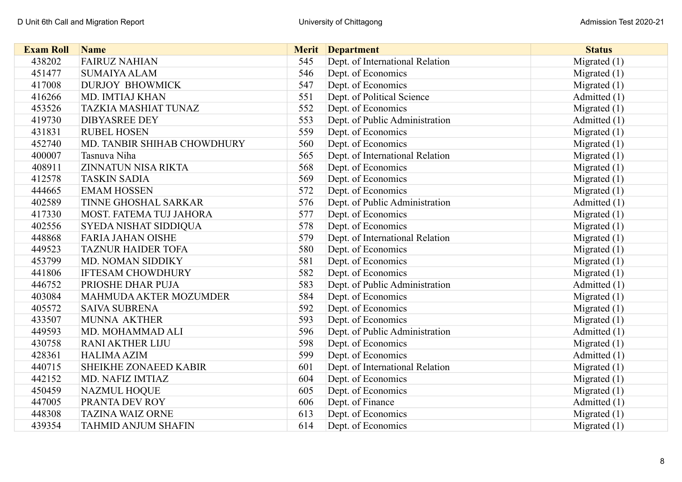| <b>Exam Roll</b> | <b>Name</b>                 | <b>Merit</b> | <b>Department</b>               | <b>Status</b>  |
|------------------|-----------------------------|--------------|---------------------------------|----------------|
| 438202           | <b>FAIRUZ NAHIAN</b>        | 545          | Dept. of International Relation | Migrated (1)   |
| 451477           | <b>SUMAIYA ALAM</b>         | 546          | Dept. of Economics              | Migrated $(1)$ |
| 417008           | <b>DURJOY BHOWMICK</b>      | 547          | Dept. of Economics              | Migrated (1)   |
| 416266           | MD. IMTIAJ KHAN             | 551          | Dept. of Political Science      | Admitted (1)   |
| 453526           | <b>TAZKIA MASHIAT TUNAZ</b> | 552          | Dept. of Economics              | Migrated $(1)$ |
| 419730           | <b>DIBYASREE DEY</b>        | 553          | Dept. of Public Administration  | Admitted (1)   |
| 431831           | <b>RUBEL HOSEN</b>          | 559          | Dept. of Economics              | Migrated $(1)$ |
| 452740           | MD. TANBIR SHIHAB CHOWDHURY | 560          | Dept. of Economics              | Migrated $(1)$ |
| 400007           | Tasnuva Niha                | 565          | Dept. of International Relation | Migrated $(1)$ |
| 408911           | <b>ZINNATUN NISA RIKTA</b>  | 568          | Dept. of Economics              | Migrated $(1)$ |
| 412578           | <b>TASKIN SADIA</b>         | 569          | Dept. of Economics              | Migrated $(1)$ |
| 444665           | <b>EMAM HOSSEN</b>          | 572          | Dept. of Economics              | Migrated $(1)$ |
| 402589           | TINNE GHOSHAL SARKAR        | 576          | Dept. of Public Administration  | Admitted (1)   |
| 417330           | MOST. FATEMA TUJ JAHORA     | 577          | Dept. of Economics              | Migrated $(1)$ |
| 402556           | SYEDA NISHAT SIDDIQUA       | 578          | Dept. of Economics              | Migrated $(1)$ |
| 448868           | <b>FARIA JAHAN OISHE</b>    | 579          | Dept. of International Relation | Migrated $(1)$ |
| 449523           | <b>TAZNUR HAIDER TOFA</b>   | 580          | Dept. of Economics              | Migrated $(1)$ |
| 453799           | MD. NOMAN SIDDIKY           | 581          | Dept. of Economics              | Migrated $(1)$ |
| 441806           | <b>IFTESAM CHOWDHURY</b>    | 582          | Dept. of Economics              | Migrated $(1)$ |
| 446752           | PRIOSHE DHAR PUJA           | 583          | Dept. of Public Administration  | Admitted (1)   |
| 403084           | MAHMUDA AKTER MOZUMDER      | 584          | Dept. of Economics              | Migrated $(1)$ |
| 405572           | <b>SAIVA SUBRENA</b>        | 592          | Dept. of Economics              | Migrated $(1)$ |
| 433507           | MUNNA AKTHER                | 593          | Dept. of Economics              | Migrated $(1)$ |
| 449593           | MD. MOHAMMAD ALI            | 596          | Dept. of Public Administration  | Admitted (1)   |
| 430758           | <b>RANI AKTHER LIJU</b>     | 598          | Dept. of Economics              | Migrated $(1)$ |
| 428361           | <b>HALIMA AZIM</b>          | 599          | Dept. of Economics              | Admitted (1)   |
| 440715           | SHEIKHE ZONAEED KABIR       | 601          | Dept. of International Relation | Migrated $(1)$ |
| 442152           | MD. NAFIZ IMTIAZ            | 604          | Dept. of Economics              | Migrated $(1)$ |
| 450459           | <b>NAZMUL HOQUE</b>         | 605          | Dept. of Economics              | Migrated $(1)$ |
| 447005           | PRANTA DEV ROY              | 606          | Dept. of Finance                | Admitted (1)   |
| 448308           | <b>TAZINA WAIZ ORNE</b>     | 613          | Dept. of Economics              | Migrated $(1)$ |
| 439354           | <b>TAHMID ANJUM SHAFIN</b>  | 614          | Dept. of Economics              | Migrated $(1)$ |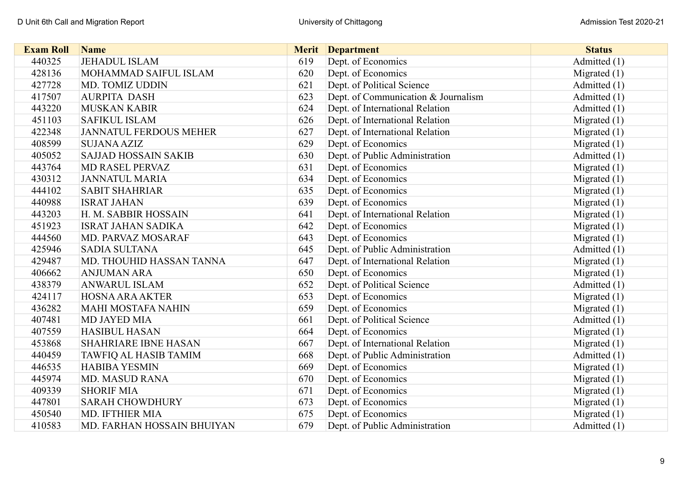| <b>Exam Roll</b> | <b>Name</b>                   | <b>Merit</b> | <b>Department</b>                   | <b>Status</b>  |
|------------------|-------------------------------|--------------|-------------------------------------|----------------|
| 440325           | <b>JEHADUL ISLAM</b>          | 619          | Dept. of Economics                  | Admitted (1)   |
| 428136           | MOHAMMAD SAIFUL ISLAM         | 620          | Dept. of Economics                  | Migrated $(1)$ |
| 427728           | MD. TOMIZ UDDIN               | 621          | Dept. of Political Science          | Admitted (1)   |
| 417507           | <b>AURPITA DASH</b>           | 623          | Dept. of Communication & Journalism | Admitted $(1)$ |
| 443220           | <b>MUSKAN KABIR</b>           | 624          | Dept. of International Relation     | Admitted (1)   |
| 451103           | <b>SAFIKUL ISLAM</b>          | 626          | Dept. of International Relation     | Migrated $(1)$ |
| 422348           | <b>JANNATUL FERDOUS MEHER</b> | 627          | Dept. of International Relation     | Migrated $(1)$ |
| 408599           | <b>SUJANA AZIZ</b>            | 629          | Dept. of Economics                  | Migrated $(1)$ |
| 405052           | <b>SAJJAD HOSSAIN SAKIB</b>   | 630          | Dept. of Public Administration      | Admitted (1)   |
| 443764           | MD RASEL PERVAZ               | 631          | Dept. of Economics                  | Migrated $(1)$ |
| 430312           | <b>JANNATUL MARIA</b>         | 634          | Dept. of Economics                  | Migrated $(1)$ |
| 444102           | <b>SABIT SHAHRIAR</b>         | 635          | Dept. of Economics                  | Migrated $(1)$ |
| 440988           | <b>ISRAT JAHAN</b>            | 639          | Dept. of Economics                  | Migrated $(1)$ |
| 443203           | H. M. SABBIR HOSSAIN          | 641          | Dept. of International Relation     | Migrated $(1)$ |
| 451923           | <b>ISRAT JAHAN SADIKA</b>     | 642          | Dept. of Economics                  | Migrated $(1)$ |
| 444560           | MD. PARVAZ MOSARAF            | 643          | Dept. of Economics                  | Migrated $(1)$ |
| 425946           | <b>SADIA SULTANA</b>          | 645          | Dept. of Public Administration      | Admitted (1)   |
| 429487           | MD. THOUHID HASSAN TANNA      | 647          | Dept. of International Relation     | Migrated $(1)$ |
| 406662           | <b>ANJUMAN ARA</b>            | 650          | Dept. of Economics                  | Migrated $(1)$ |
| 438379           | <b>ANWARUL ISLAM</b>          | 652          | Dept. of Political Science          | Admitted (1)   |
| 424117           | <b>HOSNA ARA AKTER</b>        | 653          | Dept. of Economics                  | Migrated $(1)$ |
| 436282           | <b>MAHI MOSTAFA NAHIN</b>     | 659          | Dept. of Economics                  | Migrated $(1)$ |
| 407481           | <b>MD JAYED MIA</b>           | 661          | Dept. of Political Science          | Admitted (1)   |
| 407559           | <b>HASIBUL HASAN</b>          | 664          | Dept. of Economics                  | Migrated $(1)$ |
| 453868           | <b>SHAHRIARE IBNE HASAN</b>   | 667          | Dept. of International Relation     | Migrated $(1)$ |
| 440459           | TAWFIQ AL HASIB TAMIM         | 668          | Dept. of Public Administration      | Admitted (1)   |
| 446535           | <b>HABIBA YESMIN</b>          | 669          | Dept. of Economics                  | Migrated $(1)$ |
| 445974           | <b>MD. MASUD RANA</b>         | 670          | Dept. of Economics                  | Migrated $(1)$ |
| 409339           | <b>SHORIF MIA</b>             | 671          | Dept. of Economics                  | Migrated $(1)$ |
| 447801           | <b>SARAH CHOWDHURY</b>        | 673          | Dept. of Economics                  | Migrated $(1)$ |
| 450540           | MD. IFTHIER MIA               | 675          | Dept. of Economics                  | Migrated $(1)$ |
| 410583           | MD. FARHAN HOSSAIN BHUIYAN    | 679          | Dept. of Public Administration      | Admitted (1)   |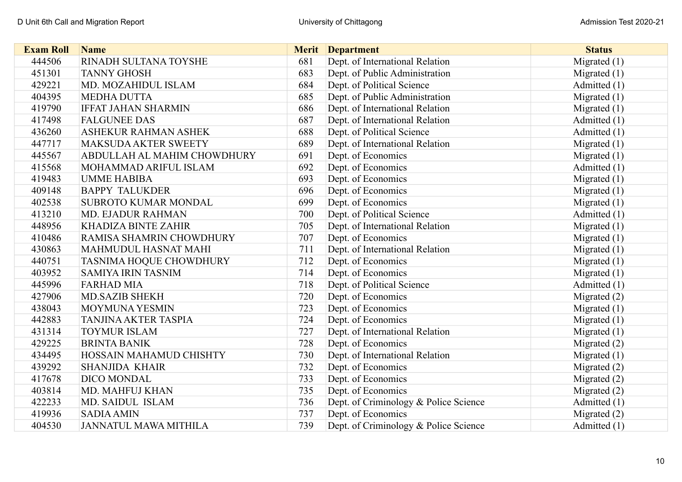| <b>Exam Roll</b> | <b>Name</b>                 | <b>Merit</b> | <b>Department</b>                     | <b>Status</b>  |
|------------------|-----------------------------|--------------|---------------------------------------|----------------|
| 444506           | RINADH SULTANA TOYSHE       | 681          | Dept. of International Relation       | Migrated $(1)$ |
| 451301           | <b>TANNY GHOSH</b>          | 683          | Dept. of Public Administration        | Migrated $(1)$ |
| 429221           | MD. MOZAHIDUL ISLAM         | 684          | Dept. of Political Science            | Admitted (1)   |
| 404395           | <b>MEDHA DUTTA</b>          | 685          | Dept. of Public Administration        | Migrated $(1)$ |
| 419790           | <b>IFFAT JAHAN SHARMIN</b>  | 686          | Dept. of International Relation       | Migrated $(1)$ |
| 417498           | <b>FALGUNEE DAS</b>         | 687          | Dept. of International Relation       | Admitted (1)   |
| 436260           | ASHEKUR RAHMAN ASHEK        | 688          | Dept. of Political Science            | Admitted (1)   |
| 447717           | <b>MAKSUDA AKTER SWEETY</b> | 689          | Dept. of International Relation       | Migrated $(1)$ |
| 445567           | ABDULLAH AL MAHIM CHOWDHURY | 691          | Dept. of Economics                    | Migrated $(1)$ |
| 415568           | MOHAMMAD ARIFUL ISLAM       | 692          | Dept. of Economics                    | Admitted (1)   |
| 419483           | <b>UMME HABIBA</b>          | 693          | Dept. of Economics                    | Migrated $(1)$ |
| 409148           | <b>BAPPY TALUKDER</b>       | 696          | Dept. of Economics                    | Migrated $(1)$ |
| 402538           | <b>SUBROTO KUMAR MONDAL</b> | 699          | Dept. of Economics                    | Migrated $(1)$ |
| 413210           | MD. EJADUR RAHMAN           | 700          | Dept. of Political Science            | Admitted (1)   |
| 448956           | KHADIZA BINTE ZAHIR         | 705          | Dept. of International Relation       | Migrated $(1)$ |
| 410486           | RAMISA SHAMRIN CHOWDHURY    | 707          | Dept. of Economics                    | Migrated $(1)$ |
| 430863           | <b>MAHMUDUL HASNAT MAHI</b> | 711          | Dept. of International Relation       | Migrated $(1)$ |
| 440751           | TASNIMA HOQUE CHOWDHURY     | 712          | Dept. of Economics                    | Migrated $(1)$ |
| 403952           | <b>SAMIYA IRIN TASNIM</b>   | 714          | Dept. of Economics                    | Migrated $(1)$ |
| 445996           | <b>FARHAD MIA</b>           | 718          | Dept. of Political Science            | Admitted (1)   |
| 427906           | <b>MD.SAZIB SHEKH</b>       | 720          | Dept. of Economics                    | Migrated $(2)$ |
| 438043           | <b>MOYMUNA YESMIN</b>       | 723          | Dept. of Economics                    | Migrated $(1)$ |
| 442883           | <b>TANJINA AKTER TASPIA</b> | 724          | Dept. of Economics                    | Migrated $(1)$ |
| 431314           | <b>TOYMUR ISLAM</b>         | 727          | Dept. of International Relation       | Migrated $(1)$ |
| 429225           | <b>BRINTA BANIK</b>         | 728          | Dept. of Economics                    | Migrated (2)   |
| 434495           | HOSSAIN MAHAMUD CHISHTY     | 730          | Dept. of International Relation       | Migrated $(1)$ |
| 439292           | <b>SHANJIDA KHAIR</b>       | 732          | Dept. of Economics                    | Migrated $(2)$ |
| 417678           | <b>DICO MONDAL</b>          | 733          | Dept. of Economics                    | Migrated $(2)$ |
| 403814           | MD. MAHFUJ KHAN             | 735          | Dept. of Economics                    | Migrated $(2)$ |
| 422233           | MD. SAIDUL ISLAM            | 736          | Dept. of Criminology & Police Science | Admitted (1)   |
| 419936           | <b>SADIA AMIN</b>           | 737          | Dept. of Economics                    | Migrated $(2)$ |
| 404530           | JANNATUL MAWA MITHILA       | 739          | Dept. of Criminology & Police Science | Admitted (1)   |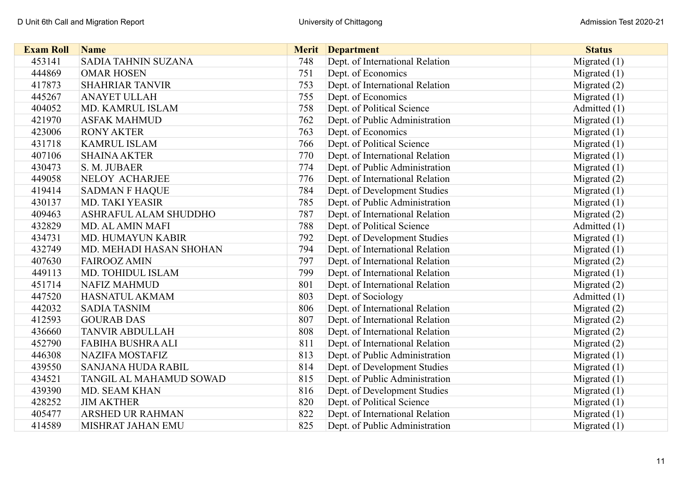| <b>Exam Roll</b> | <b>Name</b>                  | <b>Merit</b> | <b>Department</b>               | <b>Status</b>  |
|------------------|------------------------------|--------------|---------------------------------|----------------|
| 453141           | <b>SADIA TAHNIN SUZANA</b>   | 748          | Dept. of International Relation | Migrated $(1)$ |
| 444869           | <b>OMAR HOSEN</b>            | 751          | Dept. of Economics              | Migrated $(1)$ |
| 417873           | <b>SHAHRIAR TANVIR</b>       | 753          | Dept. of International Relation | Migrated $(2)$ |
| 445267           | <b>ANAYET ULLAH</b>          | 755          | Dept. of Economics              | Migrated $(1)$ |
| 404052           | MD. KAMRUL ISLAM             | 758          | Dept. of Political Science      | Admitted (1)   |
| 421970           | <b>ASFAK MAHMUD</b>          | 762          | Dept. of Public Administration  | Migrated $(1)$ |
| 423006           | <b>RONY AKTER</b>            | 763          | Dept. of Economics              | Migrated $(1)$ |
| 431718           | <b>KAMRUL ISLAM</b>          | 766          | Dept. of Political Science      | Migrated $(1)$ |
| 407106           | <b>SHAINA AKTER</b>          | 770          | Dept. of International Relation | Migrated $(1)$ |
| 430473           | S. M. JUBAER                 | 774          | Dept. of Public Administration  | Migrated $(1)$ |
| 449058           | NELOY ACHARJEE               | 776          | Dept. of International Relation | Migrated $(2)$ |
| 419414           | <b>SADMAN F HAQUE</b>        | 784          | Dept. of Development Studies    | Migrated $(1)$ |
| 430137           | <b>MD. TAKI YEASIR</b>       | 785          | Dept. of Public Administration  | Migrated $(1)$ |
| 409463           | <b>ASHRAFUL ALAM SHUDDHO</b> | 787          | Dept. of International Relation | Migrated (2)   |
| 432829           | MD. AL AMIN MAFI             | 788          | Dept. of Political Science      | Admitted (1)   |
| 434731           | MD. HUMAYUN KABIR            | 792          | Dept. of Development Studies    | Migrated $(1)$ |
| 432749           | MD. MEHADI HASAN SHOHAN      | 794          | Dept. of International Relation | Migrated $(1)$ |
| 407630           | <b>FAIROOZ AMIN</b>          | 797          | Dept. of International Relation | Migrated $(2)$ |
| 449113           | MD. TOHIDUL ISLAM            | 799          | Dept. of International Relation | Migrated $(1)$ |
| 451714           | <b>NAFIZ MAHMUD</b>          | 801          | Dept. of International Relation | Migrated $(2)$ |
| 447520           | <b>HASNATUL AKMAM</b>        | 803          | Dept. of Sociology              | Admitted (1)   |
| 442032           | <b>SADIA TASNIM</b>          | 806          | Dept. of International Relation | Migrated $(2)$ |
| 412593           | <b>GOURAB DAS</b>            | 807          | Dept. of International Relation | Migrated $(2)$ |
| 436660           | <b>TANVIR ABDULLAH</b>       | 808          | Dept. of International Relation | Migrated (2)   |
| 452790           | <b>FABIHA BUSHRA ALI</b>     | 811          | Dept. of International Relation | Migrated $(2)$ |
| 446308           | <b>NAZIFA MOSTAFIZ</b>       | 813          | Dept. of Public Administration  | Migrated $(1)$ |
| 439550           | <b>SANJANA HUDA RABIL</b>    | 814          | Dept. of Development Studies    | Migrated $(1)$ |
| 434521           | TANGIL AL MAHAMUD SOWAD      | 815          | Dept. of Public Administration  | Migrated $(1)$ |
| 439390           | <b>MD. SEAM KHAN</b>         | 816          | Dept. of Development Studies    | Migrated $(1)$ |
| 428252           | <b>JIM AKTHER</b>            | 820          | Dept. of Political Science      | Migrated $(1)$ |
| 405477           | <b>ARSHED UR RAHMAN</b>      | 822          | Dept. of International Relation | Migrated $(1)$ |
| 414589           | MISHRAT JAHAN EMU            | 825          | Dept. of Public Administration  | Migrated $(1)$ |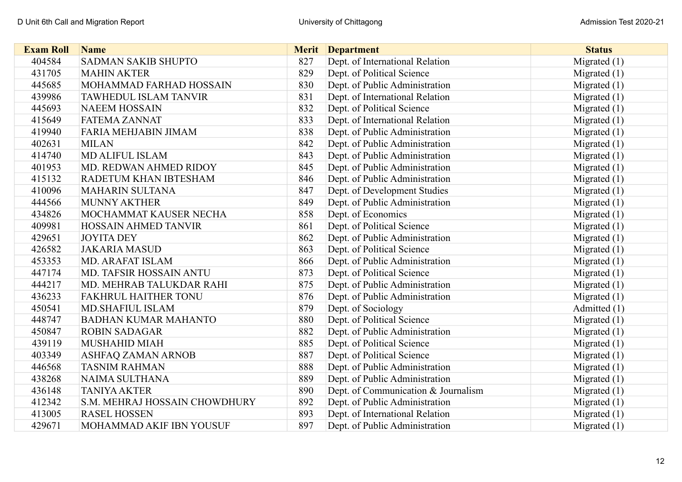| <b>Exam Roll</b> | <b>Name</b>                   | <b>Merit</b> | <b>Department</b>                   | <b>Status</b>  |
|------------------|-------------------------------|--------------|-------------------------------------|----------------|
| 404584           | <b>SADMAN SAKIB SHUPTO</b>    | 827          | Dept. of International Relation     | Migrated (1)   |
| 431705           | <b>MAHIN AKTER</b>            | 829          | Dept. of Political Science          | Migrated $(1)$ |
| 445685           | MOHAMMAD FARHAD HOSSAIN       | 830          | Dept. of Public Administration      | Migrated $(1)$ |
| 439986           | TAWHEDUL ISLAM TANVIR         | 831          | Dept. of International Relation     | Migrated $(1)$ |
| 445693           | <b>NAEEM HOSSAIN</b>          | 832          | Dept. of Political Science          | Migrated $(1)$ |
| 415649           | <b>FATEMA ZANNAT</b>          | 833          | Dept. of International Relation     | Migrated $(1)$ |
| 419940           | <b>FARIA MEHJABIN JIMAM</b>   | 838          | Dept. of Public Administration      | Migrated $(1)$ |
| 402631           | <b>MILAN</b>                  | 842          | Dept. of Public Administration      | Migrated $(1)$ |
| 414740           | MD ALIFUL ISLAM               | 843          | Dept. of Public Administration      | Migrated $(1)$ |
| 401953           | MD. REDWAN AHMED RIDOY        | 845          | Dept. of Public Administration      | Migrated $(1)$ |
| 415132           | RADETUM KHAN IBTESHAM         | 846          | Dept. of Public Administration      | Migrated $(1)$ |
| 410096           | <b>MAHARIN SULTANA</b>        | 847          | Dept. of Development Studies        | Migrated $(1)$ |
| 444566           | <b>MUNNY AKTHER</b>           | 849          | Dept. of Public Administration      | Migrated $(1)$ |
| 434826           | MOCHAMMAT KAUSER NECHA        | 858          | Dept. of Economics                  | Migrated $(1)$ |
| 409981           | HOSSAIN AHMED TANVIR          | 861          | Dept. of Political Science          | Migrated $(1)$ |
| 429651           | <b>JOYITA DEY</b>             | 862          | Dept. of Public Administration      | Migrated $(1)$ |
| 426582           | <b>JAKARIA MASUD</b>          | 863          | Dept. of Political Science          | Migrated $(1)$ |
| 453353           | <b>MD. ARAFAT ISLAM</b>       | 866          | Dept. of Public Administration      | Migrated $(1)$ |
| 447174           | MD. TAFSIR HOSSAIN ANTU       | 873          | Dept. of Political Science          | Migrated $(1)$ |
| 444217           | MD. MEHRAB TALUKDAR RAHI      | 875          | Dept. of Public Administration      | Migrated $(1)$ |
| 436233           | <b>FAKHRUL HAITHER TONU</b>   | 876          | Dept. of Public Administration      | Migrated $(1)$ |
| 450541           | <b>MD.SHAFIUL ISLAM</b>       | 879          | Dept. of Sociology                  | Admitted (1)   |
| 448747           | <b>BADHAN KUMAR MAHANTO</b>   | 880          | Dept. of Political Science          | Migrated $(1)$ |
| 450847           | <b>ROBIN SADAGAR</b>          | 882          | Dept. of Public Administration      | Migrated $(1)$ |
| 439119           | <b>MUSHAHID MIAH</b>          | 885          | Dept. of Political Science          | Migrated $(1)$ |
| 403349           | ASHFAQ ZAMAN ARNOB            | 887          | Dept. of Political Science          | Migrated $(1)$ |
| 446568           | <b>TASNIM RAHMAN</b>          | 888          | Dept. of Public Administration      | Migrated $(1)$ |
| 438268           | NAIMA SULTHANA                | 889          | Dept. of Public Administration      | Migrated $(1)$ |
| 436148           | <b>TANIYA AKTER</b>           | 890          | Dept. of Communication & Journalism | Migrated $(1)$ |
| 412342           | S.M. MEHRAJ HOSSAIN CHOWDHURY | 892          | Dept. of Public Administration      | Migrated $(1)$ |
| 413005           | <b>RASEL HOSSEN</b>           | 893          | Dept. of International Relation     | Migrated $(1)$ |
| 429671           | MOHAMMAD AKIF IBN YOUSUF      | 897          | Dept. of Public Administration      | Migrated $(1)$ |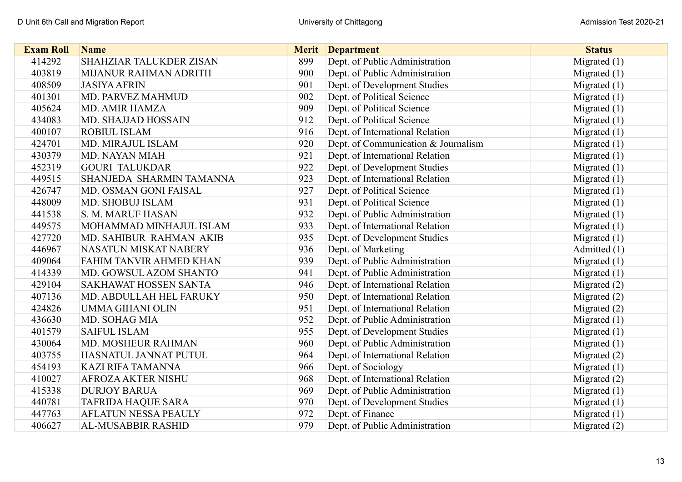| <b>Exam Roll</b> | <b>Name</b>                    | <b>Merit</b> | <b>Department</b>                   | <b>Status</b>  |
|------------------|--------------------------------|--------------|-------------------------------------|----------------|
| 414292           | <b>SHAHZIAR TALUKDER ZISAN</b> | 899          | Dept. of Public Administration      | Migrated $(1)$ |
| 403819           | MIJANUR RAHMAN ADRITH          | 900          | Dept. of Public Administration      | Migrated $(1)$ |
| 408509           | <b>JASIYA AFRIN</b>            | 901          | Dept. of Development Studies        | Migrated $(1)$ |
| 401301           | MD. PARVEZ MAHMUD              | 902          | Dept. of Political Science          | Migrated $(1)$ |
| 405624           | <b>MD. AMIR HAMZA</b>          | 909          | Dept. of Political Science          | Migrated $(1)$ |
| 434083           | MD. SHAJJAD HOSSAIN            | 912          | Dept. of Political Science          | Migrated $(1)$ |
| 400107           | <b>ROBIUL ISLAM</b>            | 916          | Dept. of International Relation     | Migrated $(1)$ |
| 424701           | MD. MIRAJUL ISLAM              | 920          | Dept. of Communication & Journalism | Migrated $(1)$ |
| 430379           | MD. NAYAN MIAH                 | 921          | Dept. of International Relation     | Migrated $(1)$ |
| 452319           | <b>GOURI TALUKDAR</b>          | 922          | Dept. of Development Studies        | Migrated $(1)$ |
| 449515           | SHANJEDA SHARMIN TAMANNA       | 923          | Dept. of International Relation     | Migrated $(1)$ |
| 426747           | MD. OSMAN GONI FAISAL          | 927          | Dept. of Political Science          | Migrated $(1)$ |
| 448009           | MD. SHOBUJ ISLAM               | 931          | Dept. of Political Science          | Migrated $(1)$ |
| 441538           | S. M. MARUF HASAN              | 932          | Dept. of Public Administration      | Migrated $(1)$ |
| 449575           | MOHAMMAD MINHAJUL ISLAM        | 933          | Dept. of International Relation     | Migrated $(1)$ |
| 427720           | MD. SAHIBUR RAHMAN AKIB        | 935          | Dept. of Development Studies        | Migrated $(1)$ |
| 446967           | NASATUN MISKAT NABERY          | 936          | Dept. of Marketing                  | Admitted (1)   |
| 409064           | FAHIM TANVIR AHMED KHAN        | 939          | Dept. of Public Administration      | Migrated $(1)$ |
| 414339           | MD. GOWSUL AZOM SHANTO         | 941          | Dept. of Public Administration      | Migrated $(1)$ |
| 429104           | <b>SAKHAWAT HOSSEN SANTA</b>   | 946          | Dept. of International Relation     | Migrated $(2)$ |
| 407136           | MD. ABDULLAH HEL FARUKY        | 950          | Dept. of International Relation     | Migrated $(2)$ |
| 424826           | <b>UMMA GIHANI OLIN</b>        | 951          | Dept. of International Relation     | Migrated (2)   |
| 436630           | MD. SOHAG MIA                  | 952          | Dept. of Public Administration      | Migrated $(1)$ |
| 401579           | <b>SAIFUL ISLAM</b>            | 955          | Dept. of Development Studies        | Migrated $(1)$ |
| 430064           | MD. MOSHEUR RAHMAN             | 960          | Dept. of Public Administration      | Migrated $(1)$ |
| 403755           | HASNATUL JANNAT PUTUL          | 964          | Dept. of International Relation     | Migrated (2)   |
| 454193           | <b>KAZI RIFA TAMANNA</b>       | 966          | Dept. of Sociology                  | Migrated $(1)$ |
| 410027           | <b>AFROZA AKTER NISHU</b>      | 968          | Dept. of International Relation     | Migrated $(2)$ |
| 415338           | <b>DURJOY BARUA</b>            | 969          | Dept. of Public Administration      | Migrated $(1)$ |
| 440781           | <b>TAFRIDA HAQUE SARA</b>      | 970          | Dept. of Development Studies        | Migrated $(1)$ |
| 447763           | AFLATUN NESSA PEAULY           | 972          | Dept. of Finance                    | Migrated $(1)$ |
| 406627           | AL-MUSABBIR RASHID             | 979          | Dept. of Public Administration      | Migrated $(2)$ |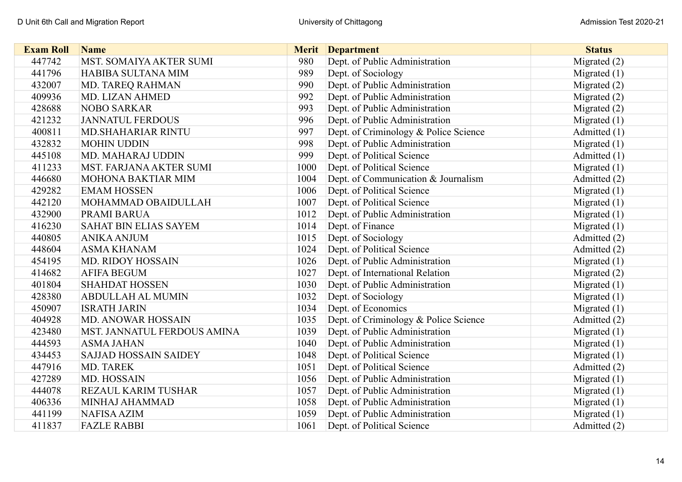| <b>Exam Roll</b> | <b>Name</b>                  | <b>Merit</b> | <b>Department</b>                     | <b>Status</b>  |
|------------------|------------------------------|--------------|---------------------------------------|----------------|
| 447742           | MST. SOMAIYA AKTER SUMI      | 980          | Dept. of Public Administration        | Migrated $(2)$ |
| 441796           | HABIBA SULTANA MIM           | 989          | Dept. of Sociology                    | Migrated $(1)$ |
| 432007           | MD. TAREQ RAHMAN             | 990          | Dept. of Public Administration        | Migrated $(2)$ |
| 409936           | MD. LIZAN AHMED              | 992          | Dept. of Public Administration        | Migrated $(2)$ |
| 428688           | <b>NOBO SARKAR</b>           | 993          | Dept. of Public Administration        | Migrated $(2)$ |
| 421232           | <b>JANNATUL FERDOUS</b>      | 996          | Dept. of Public Administration        | Migrated $(1)$ |
| 400811           | <b>MD.SHAHARIAR RINTU</b>    | 997          | Dept. of Criminology & Police Science | Admitted (1)   |
| 432832           | <b>MOHIN UDDIN</b>           | 998          | Dept. of Public Administration        | Migrated $(1)$ |
| 445108           | MD. MAHARAJ UDDIN            | 999          | Dept. of Political Science            | Admitted (1)   |
| 411233           | MST. FARJANA AKTER SUMI      | 1000         | Dept. of Political Science            | Migrated $(1)$ |
| 446680           | MOHONA BAKTIAR MIM           | 1004         | Dept. of Communication & Journalism   | Admitted (2)   |
| 429282           | <b>EMAM HOSSEN</b>           | 1006         | Dept. of Political Science            | Migrated $(1)$ |
| 442120           | MOHAMMAD OBAIDULLAH          | 1007         | Dept. of Political Science            | Migrated $(1)$ |
| 432900           | PRAMI BARUA                  | 1012         | Dept. of Public Administration        | Migrated $(1)$ |
| 416230           | SAHAT BIN ELIAS SAYEM        | 1014         | Dept. of Finance                      | Migrated $(1)$ |
| 440805           | <b>ANIKA ANJUM</b>           | 1015         | Dept. of Sociology                    | Admitted (2)   |
| 448604           | <b>ASMA KHANAM</b>           | 1024         | Dept. of Political Science            | Admitted (2)   |
| 454195           | <b>MD. RIDOY HOSSAIN</b>     | 1026         | Dept. of Public Administration        | Migrated $(1)$ |
| 414682           | <b>AFIFA BEGUM</b>           | 1027         | Dept. of International Relation       | Migrated $(2)$ |
| 401804           | <b>SHAHDAT HOSSEN</b>        | 1030         | Dept. of Public Administration        | Migrated $(1)$ |
| 428380           | <b>ABDULLAH AL MUMIN</b>     | 1032         | Dept. of Sociology                    | Migrated $(1)$ |
| 450907           | <b>ISRATH JARIN</b>          | 1034         | Dept. of Economics                    | Migrated $(1)$ |
| 404928           | MD. ANOWAR HOSSAIN           | 1035         | Dept. of Criminology & Police Science | Admitted (2)   |
| 423480           | MST. JANNATUL FERDOUS AMINA  | 1039         | Dept. of Public Administration        | Migrated $(1)$ |
| 444593           | <b>ASMA JAHAN</b>            | 1040         | Dept. of Public Administration        | Migrated $(1)$ |
| 434453           | <b>SAJJAD HOSSAIN SAIDEY</b> | 1048         | Dept. of Political Science            | Migrated $(1)$ |
| 447916           | MD. TAREK                    | 1051         | Dept. of Political Science            | Admitted (2)   |
| 427289           | MD. HOSSAIN                  | 1056         | Dept. of Public Administration        | Migrated $(1)$ |
| 444078           | REZAUL KARIM TUSHAR          | 1057         | Dept. of Public Administration        | Migrated $(1)$ |
| 406336           | MINHAJ AHAMMAD               | 1058         | Dept. of Public Administration        | Migrated $(1)$ |
| 441199           | <b>NAFISA AZIM</b>           | 1059         | Dept. of Public Administration        | Migrated $(1)$ |
| 411837           | <b>FAZLE RABBI</b>           | 1061         | Dept. of Political Science            | Admitted (2)   |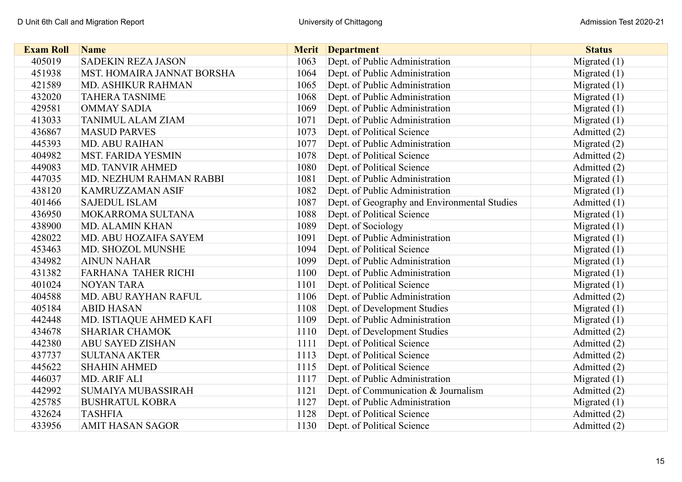| <b>Exam Roll</b> | <b>Name</b>                |      | <b>Merit</b> Department                      | <b>Status</b>  |
|------------------|----------------------------|------|----------------------------------------------|----------------|
| 405019           | <b>SADEKIN REZA JASON</b>  | 1063 | Dept. of Public Administration               | Migrated (1)   |
| 451938           | MST. HOMAIRA JANNAT BORSHA | 1064 | Dept. of Public Administration               | Migrated $(1)$ |
| 421589           | MD. ASHIKUR RAHMAN         | 1065 | Dept. of Public Administration               | Migrated $(1)$ |
| 432020           | <b>TAHERA TASNIME</b>      | 1068 | Dept. of Public Administration               | Migrated $(1)$ |
| 429581           | <b>OMMAY SADIA</b>         | 1069 | Dept. of Public Administration               | Migrated $(1)$ |
| 413033           | <b>TANIMUL ALAM ZIAM</b>   | 1071 | Dept. of Public Administration               | Migrated $(1)$ |
| 436867           | <b>MASUD PARVES</b>        | 1073 | Dept. of Political Science                   | Admitted (2)   |
| 445393           | MD. ABU RAIHAN             | 1077 | Dept. of Public Administration               | Migrated $(2)$ |
| 404982           | <b>MST. FARIDA YESMIN</b>  | 1078 | Dept. of Political Science                   | Admitted (2)   |
| 449083           | MD. TANVIR AHMED           | 1080 | Dept. of Political Science                   | Admitted (2)   |
| 447035           | MD. NEZHUM RAHMAN RABBI    | 1081 | Dept. of Public Administration               | Migrated $(1)$ |
| 438120           | <b>KAMRUZZAMAN ASIF</b>    | 1082 | Dept. of Public Administration               | Migrated $(1)$ |
| 401466           | <b>SAJEDUL ISLAM</b>       | 1087 | Dept. of Geography and Environmental Studies | Admitted (1)   |
| 436950           | MOKARROMA SULTANA          | 1088 | Dept. of Political Science                   | Migrated $(1)$ |
| 438900           | MD. ALAMIN KHAN            | 1089 | Dept. of Sociology                           | Migrated $(1)$ |
| 428022           | MD. ABU HOZAIFA SAYEM      | 1091 | Dept. of Public Administration               | Migrated $(1)$ |
| 453463           | MD. SHOZOL MUNSHE          | 1094 | Dept. of Political Science                   | Migrated $(1)$ |
| 434982           | <b>AINUN NAHAR</b>         | 1099 | Dept. of Public Administration               | Migrated $(1)$ |
| 431382           | FARHANA TAHER RICHI        | 1100 | Dept. of Public Administration               | Migrated $(1)$ |
| 401024           | <b>NOYAN TARA</b>          | 1101 | Dept. of Political Science                   | Migrated $(1)$ |
| 404588           | MD. ABU RAYHAN RAFUL       | 1106 | Dept. of Public Administration               | Admitted (2)   |
| 405184           | <b>ABID HASAN</b>          | 1108 | Dept. of Development Studies                 | Migrated $(1)$ |
| 442448           | MD. ISTIAQUE AHMED KAFI    | 1109 | Dept. of Public Administration               | Migrated $(1)$ |
| 434678           | <b>SHARIAR CHAMOK</b>      | 1110 | Dept. of Development Studies                 | Admitted (2)   |
| 442380           | <b>ABU SAYED ZISHAN</b>    | 1111 | Dept. of Political Science                   | Admitted (2)   |
| 437737           | <b>SULTANA AKTER</b>       | 1113 | Dept. of Political Science                   | Admitted (2)   |
| 445622           | <b>SHAHIN AHMED</b>        | 1115 | Dept. of Political Science                   | Admitted (2)   |
| 446037           | MD. ARIF ALI               | 1117 | Dept. of Public Administration               | Migrated $(1)$ |
| 442992           | <b>SUMAIYA MUBASSIRAH</b>  | 1121 | Dept. of Communication & Journalism          | Admitted (2)   |
| 425785           | <b>BUSHRATUL KOBRA</b>     | 1127 | Dept. of Public Administration               | Migrated $(1)$ |
| 432624           | <b>TASHFIA</b>             | 1128 | Dept. of Political Science                   | Admitted (2)   |
| 433956           | <b>AMIT HASAN SAGOR</b>    | 1130 | Dept. of Political Science                   | Admitted (2)   |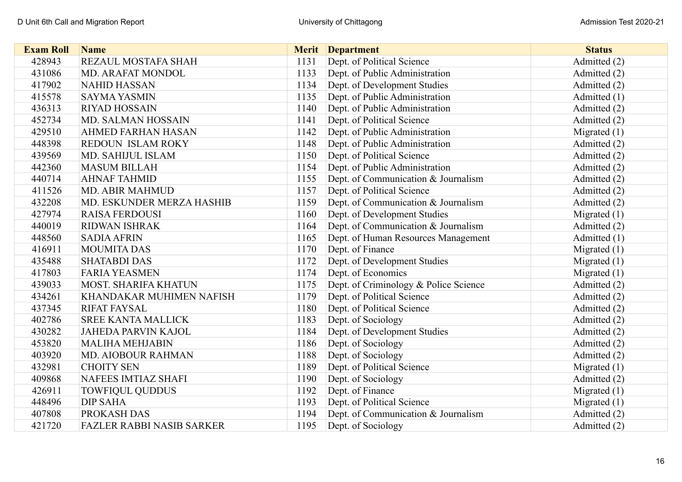| <b>Exam Roll</b> | <b>Name</b>                      |      | <b>Merit</b> Department               | <b>Status</b>  |
|------------------|----------------------------------|------|---------------------------------------|----------------|
| 428943           | REZAUL MOSTAFA SHAH              | 1131 | Dept. of Political Science            | Admitted (2)   |
| 431086           | MD. ARAFAT MONDOL                | 1133 | Dept. of Public Administration        | Admitted (2)   |
| 417902           | <b>NAHID HASSAN</b>              | 1134 | Dept. of Development Studies          | Admitted (2)   |
| 415578           | <b>SAYMA YASMIN</b>              | 1135 | Dept. of Public Administration        | Admitted $(1)$ |
| 436313           | <b>RIYAD HOSSAIN</b>             | 1140 | Dept. of Public Administration        | Admitted (2)   |
| 452734           | MD. SALMAN HOSSAIN               | 1141 | Dept. of Political Science            | Admitted (2)   |
| 429510           | <b>AHMED FARHAN HASAN</b>        | 1142 | Dept. of Public Administration        | Migrated $(1)$ |
| 448398           | REDOUN ISLAM ROKY                | 1148 | Dept. of Public Administration        | Admitted (2)   |
| 439569           | MD. SAHIJUL ISLAM                | 1150 | Dept. of Political Science            | Admitted (2)   |
| 442360           | <b>MASUM BILLAH</b>              | 1154 | Dept. of Public Administration        | Admitted (2)   |
| 440714           | <b>AHNAF TAHMID</b>              | 1155 | Dept. of Communication & Journalism   | Admitted (2)   |
| 411526           | <b>MD. ABIR MAHMUD</b>           | 1157 | Dept. of Political Science            | Admitted (2)   |
| 432208           | MD. ESKUNDER MERZA HASHIB        | 1159 | Dept. of Communication & Journalism   | Admitted (2)   |
| 427974           | <b>RAISA FERDOUSI</b>            | 1160 | Dept. of Development Studies          | Migrated $(1)$ |
| 440019           | <b>RIDWAN ISHRAK</b>             | 1164 | Dept. of Communication & Journalism   | Admitted (2)   |
| 448560           | <b>SADIA AFRIN</b>               | 1165 | Dept. of Human Resources Management   | Admitted (1)   |
| 416911           | <b>MOUMITA DAS</b>               | 1170 | Dept. of Finance                      | Migrated $(1)$ |
| 435488           | <b>SHATABDI DAS</b>              | 1172 | Dept. of Development Studies          | Migrated $(1)$ |
| 417803           | <b>FARIA YEASMEN</b>             | 1174 | Dept. of Economics                    | Migrated $(1)$ |
| 439033           | <b>MOST. SHARIFA KHATUN</b>      | 1175 | Dept. of Criminology & Police Science | Admitted (2)   |
| 434261           | KHANDAKAR MUHIMEN NAFISH         | 1179 | Dept. of Political Science            | Admitted (2)   |
| 437345           | <b>RIFAT FAYSAL</b>              | 1180 | Dept. of Political Science            | Admitted (2)   |
| 402786           | <b>SREE KANTA MALLICK</b>        | 1183 | Dept. of Sociology                    | Admitted (2)   |
| 430282           | <b>JAHEDA PARVIN KAJOL</b>       | 1184 | Dept. of Development Studies          | Admitted (2)   |
| 453820           | <b>MALIHA MEHJABIN</b>           | 1186 | Dept. of Sociology                    | Admitted (2)   |
| 403920           | MD. AIOBOUR RAHMAN               | 1188 | Dept. of Sociology                    | Admitted (2)   |
| 432981           | <b>CHOITY SEN</b>                | 1189 | Dept. of Political Science            | Migrated $(1)$ |
| 409868           | <b>NAFEES IMTIAZ SHAFI</b>       | 1190 | Dept. of Sociology                    | Admitted (2)   |
| 426911           | <b>TOWFIQUL QUDDUS</b>           | 1192 | Dept. of Finance                      | Migrated $(1)$ |
| 448496           | <b>DIP SAHA</b>                  | 1193 | Dept. of Political Science            | Migrated $(1)$ |
| 407808           | PROKASH DAS                      | 1194 | Dept. of Communication & Journalism   | Admitted (2)   |
| 421720           | <b>FAZLER RABBI NASIB SARKER</b> | 1195 | Dept. of Sociology                    | Admitted (2)   |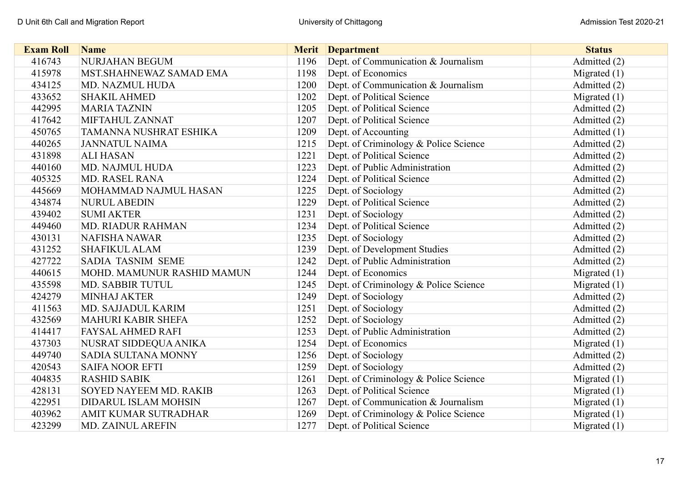| <b>Exam Roll</b> | <b>Name</b>                |      | <b>Merit</b> Department               | <b>Status</b>  |
|------------------|----------------------------|------|---------------------------------------|----------------|
| 416743           | NURJAHAN BEGUM             | 1196 | Dept. of Communication & Journalism   | Admitted (2)   |
| 415978           | MST.SHAHNEWAZ SAMAD EMA    | 1198 | Dept. of Economics                    | Migrated $(1)$ |
| 434125           | MD. NAZMUL HUDA            | 1200 | Dept. of Communication & Journalism   | Admitted (2)   |
| 433652           | <b>SHAKIL AHMED</b>        | 1202 | Dept. of Political Science            | Migrated $(1)$ |
| 442995           | <b>MARIA TAZNIN</b>        | 1205 | Dept. of Political Science            | Admitted (2)   |
| 417642           | MIFTAHUL ZANNAT            | 1207 | Dept. of Political Science            | Admitted (2)   |
| 450765           | TAMANNA NUSHRAT ESHIKA     | 1209 | Dept. of Accounting                   | Admitted $(1)$ |
| 440265           | <b>JANNATUL NAIMA</b>      | 1215 | Dept. of Criminology & Police Science | Admitted (2)   |
| 431898           | <b>ALI HASAN</b>           | 1221 | Dept. of Political Science            | Admitted (2)   |
| 440160           | MD. NAJMUL HUDA            | 1223 | Dept. of Public Administration        | Admitted (2)   |
| 405325           | <b>MD. RASEL RANA</b>      | 1224 | Dept. of Political Science            | Admitted (2)   |
| 445669           | MOHAMMAD NAJMUL HASAN      | 1225 | Dept. of Sociology                    | Admitted (2)   |
| 434874           | <b>NURUL ABEDIN</b>        | 1229 | Dept. of Political Science            | Admitted (2)   |
| 439402           | <b>SUMI AKTER</b>          | 1231 | Dept. of Sociology                    | Admitted (2)   |
| 449460           | <b>MD. RIADUR RAHMAN</b>   | 1234 | Dept. of Political Science            | Admitted (2)   |
| 430131           | <b>NAFISHA NAWAR</b>       | 1235 | Dept. of Sociology                    | Admitted (2)   |
| 431252           | <b>SHAFIKUL ALAM</b>       | 1239 | Dept. of Development Studies          | Admitted (2)   |
| 427722           | <b>SADIA TASNIM SEME</b>   | 1242 | Dept. of Public Administration        | Admitted (2)   |
| 440615           | MOHD. MAMUNUR RASHID MAMUN | 1244 | Dept. of Economics                    | Migrated $(1)$ |
| 435598           | MD. SABBIR TUTUL           | 1245 | Dept. of Criminology & Police Science | Migrated $(1)$ |
| 424279           | <b>MINHAJ AKTER</b>        | 1249 | Dept. of Sociology                    | Admitted (2)   |
| 411563           | MD. SAJJADUL KARIM         | 1251 | Dept. of Sociology                    | Admitted (2)   |
| 432569           | MAHURI KABIR SHEFA         | 1252 | Dept. of Sociology                    | Admitted (2)   |
| 414417           | FAYSAL AHMED RAFI          | 1253 | Dept. of Public Administration        | Admitted (2)   |
| 437303           | NUSRAT SIDDEQUA ANIKA      | 1254 | Dept. of Economics                    | Migrated $(1)$ |
| 449740           | SADIA SULTANA MONNY        | 1256 | Dept. of Sociology                    | Admitted (2)   |
| 420543           | <b>SAIFA NOOR EFTI</b>     | 1259 | Dept. of Sociology                    | Admitted (2)   |
| 404835           | <b>RASHID SABIK</b>        | 1261 | Dept. of Criminology & Police Science | Migrated $(1)$ |
| 428131           | SOYED NAYEEM MD. RAKIB     | 1263 | Dept. of Political Science            | Migrated $(1)$ |
| 422951           | DIDARUL ISLAM MOHSIN       | 1267 | Dept. of Communication & Journalism   | Migrated (1)   |
| 403962           | AMIT KUMAR SUTRADHAR       | 1269 | Dept. of Criminology & Police Science | Migrated $(1)$ |
| 423299           | <b>MD. ZAINUL AREFIN</b>   | 1277 | Dept. of Political Science            | Migrated $(1)$ |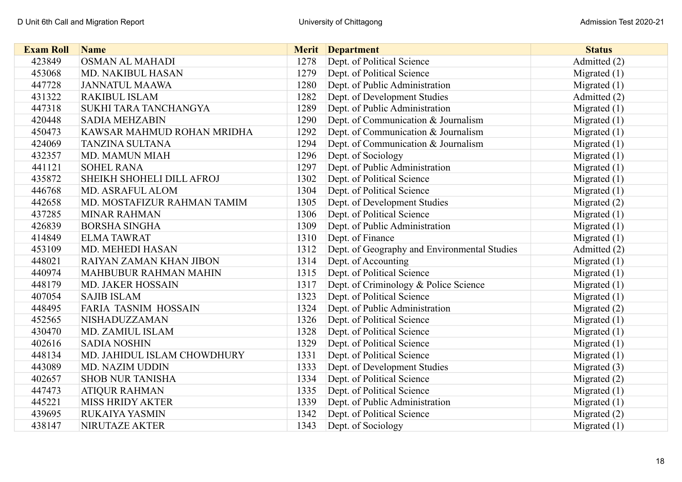| <b>Exam Roll</b> | <b>Name</b>                 |      | <b>Merit</b> Department                      | <b>Status</b>  |
|------------------|-----------------------------|------|----------------------------------------------|----------------|
| 423849           | OSMAN AL MAHADI             | 1278 | Dept. of Political Science                   | Admitted (2)   |
| 453068           | MD. NAKIBUL HASAN           | 1279 | Dept. of Political Science                   | Migrated $(1)$ |
| 447728           | <b>JANNATUL MAAWA</b>       | 1280 | Dept. of Public Administration               | Migrated $(1)$ |
| 431322           | <b>RAKIBUL ISLAM</b>        | 1282 | Dept. of Development Studies                 | Admitted (2)   |
| 447318           | SUKHI TARA TANCHANGYA       | 1289 | Dept. of Public Administration               | Migrated $(1)$ |
| 420448           | <b>SADIA MEHZABIN</b>       | 1290 | Dept. of Communication & Journalism          | Migrated $(1)$ |
| 450473           | KAWSAR MAHMUD ROHAN MRIDHA  | 1292 | Dept. of Communication & Journalism          | Migrated $(1)$ |
| 424069           | <b>TANZINA SULTANA</b>      | 1294 | Dept. of Communication & Journalism          | Migrated $(1)$ |
| 432357           | <b>MD. MAMUN MIAH</b>       | 1296 | Dept. of Sociology                           | Migrated $(1)$ |
| 441121           | <b>SOHEL RANA</b>           | 1297 | Dept. of Public Administration               | Migrated $(1)$ |
| 435872           | SHEIKH SHOHELI DILL AFROJ   | 1302 | Dept. of Political Science                   | Migrated $(1)$ |
| 446768           | MD. ASRAFUL ALOM            | 1304 | Dept. of Political Science                   | Migrated $(1)$ |
| 442658           | MD. MOSTAFIZUR RAHMAN TAMIM | 1305 | Dept. of Development Studies                 | Migrated $(2)$ |
| 437285           | <b>MINAR RAHMAN</b>         | 1306 | Dept. of Political Science                   | Migrated $(1)$ |
| 426839           | <b>BORSHA SINGHA</b>        | 1309 | Dept. of Public Administration               | Migrated $(1)$ |
| 414849           | <b>ELMATAWRAT</b>           | 1310 | Dept. of Finance                             | Migrated $(1)$ |
| 453109           | MD. MEHEDI HASAN            | 1312 | Dept. of Geography and Environmental Studies | Admitted (2)   |
| 448021           | RAIYAN ZAMAN KHAN JIBON     | 1314 | Dept. of Accounting                          | Migrated $(1)$ |
| 440974           | MAHBUBUR RAHMAN MAHIN       | 1315 | Dept. of Political Science                   | Migrated $(1)$ |
| 448179           | MD. JAKER HOSSAIN           | 1317 | Dept. of Criminology & Police Science        | Migrated $(1)$ |
| 407054           | <b>SAJIB ISLAM</b>          | 1323 | Dept. of Political Science                   | Migrated $(1)$ |
| 448495           | <b>FARIA TASNIM HOSSAIN</b> | 1324 | Dept. of Public Administration               | Migrated (2)   |
| 452565           | NISHADUZZAMAN               | 1326 | Dept. of Political Science                   | Migrated $(1)$ |
| 430470           | MD. ZAMIUL ISLAM            | 1328 | Dept. of Political Science                   | Migrated $(1)$ |
| 402616           | <b>SADIA NOSHIN</b>         | 1329 | Dept. of Political Science                   | Migrated $(1)$ |
| 448134           | MD. JAHIDUL ISLAM CHOWDHURY | 1331 | Dept. of Political Science                   | Migrated $(1)$ |
| 443089           | MD. NAZIM UDDIN             | 1333 | Dept. of Development Studies                 | Migrated (3)   |
| 402657           | <b>SHOB NUR TANISHA</b>     | 1334 | Dept. of Political Science                   | Migrated $(2)$ |
| 447473           | <b>ATIQUR RAHMAN</b>        | 1335 | Dept. of Political Science                   | Migrated $(1)$ |
| 445221           | <b>MISS HRIDY AKTER</b>     | 1339 | Dept. of Public Administration               | Migrated $(1)$ |
| 439695           | RUKAIYA YASMIN              | 1342 | Dept. of Political Science                   | Migrated (2)   |
| 438147           | NIRUTAZE AKTER              | 1343 | Dept. of Sociology                           | Migrated $(1)$ |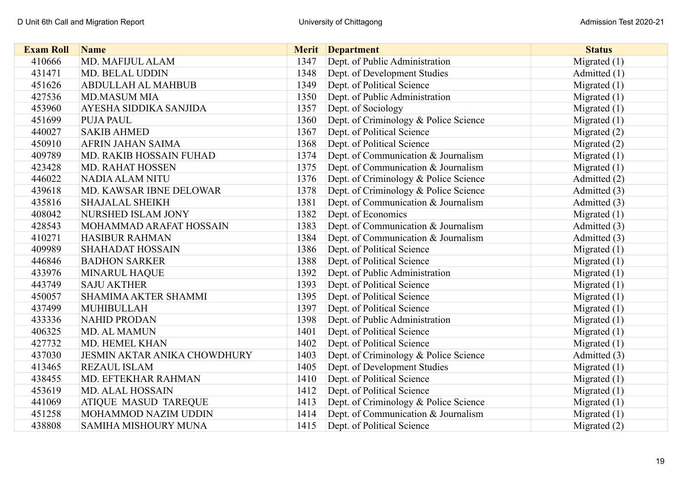| <b>Exam Roll</b> | <b>Name</b>                         | <b>Merit</b> | <b>Department</b>                     | <b>Status</b>  |
|------------------|-------------------------------------|--------------|---------------------------------------|----------------|
| 410666           | MD. MAFIJUL ALAM                    | 1347         | Dept. of Public Administration        | Migrated $(1)$ |
| 431471           | MD. BELAL UDDIN                     | 1348         | Dept. of Development Studies          | Admitted (1)   |
| 451626           | <b>ABDULLAH AL MAHBUB</b>           | 1349         | Dept. of Political Science            | Migrated $(1)$ |
| 427536           | <b>MD.MASUM MIA</b>                 | 1350         | Dept. of Public Administration        | Migrated $(1)$ |
| 453960           | AYESHA SIDDIKA SANJIDA              | 1357         | Dept. of Sociology                    | Migrated $(1)$ |
| 451699           | <b>PUJA PAUL</b>                    | 1360         | Dept. of Criminology & Police Science | Migrated $(1)$ |
| 440027           | <b>SAKIB AHMED</b>                  | 1367         | Dept. of Political Science            | Migrated $(2)$ |
| 450910           | <b>AFRIN JAHAN SAIMA</b>            | 1368         | Dept. of Political Science            | Migrated $(2)$ |
| 409789           | MD. RAKIB HOSSAIN FUHAD             | 1374         | Dept. of Communication & Journalism   | Migrated $(1)$ |
| 423428           | <b>MD. RAHAT HOSSEN</b>             | 1375         | Dept. of Communication & Journalism   | Migrated $(1)$ |
| 446022           | <b>NADIA ALAM NITU</b>              | 1376         | Dept. of Criminology & Police Science | Admitted (2)   |
| 439618           | MD. KAWSAR IBNE DELOWAR             | 1378         | Dept. of Criminology & Police Science | Admitted (3)   |
| 435816           | <b>SHAJALAL SHEIKH</b>              | 1381         | Dept. of Communication & Journalism   | Admitted (3)   |
| 408042           | NURSHED ISLAM JONY                  | 1382         | Dept. of Economics                    | Migrated $(1)$ |
| 428543           | MOHAMMAD ARAFAT HOSSAIN             | 1383         | Dept. of Communication & Journalism   | Admitted (3)   |
| 410271           | <b>HASIBUR RAHMAN</b>               | 1384         | Dept. of Communication & Journalism   | Admitted (3)   |
| 409989           | <b>SHAHADAT HOSSAIN</b>             | 1386         | Dept. of Political Science            | Migrated $(1)$ |
| 446846           | <b>BADHON SARKER</b>                | 1388         | Dept. of Political Science            | Migrated $(1)$ |
| 433976           | <b>MINARUL HAQUE</b>                | 1392         | Dept. of Public Administration        | Migrated $(1)$ |
| 443749           | <b>SAJU AKTHER</b>                  | 1393         | Dept. of Political Science            | Migrated $(1)$ |
| 450057           | <b>SHAMIMA AKTER SHAMMI</b>         | 1395         | Dept. of Political Science            | Migrated $(1)$ |
| 437499           | <b>MUHIBULLAH</b>                   | 1397         | Dept. of Political Science            | Migrated $(1)$ |
| 433336           | <b>NAHID PRODAN</b>                 | 1398         | Dept. of Public Administration        | Migrated $(1)$ |
| 406325           | <b>MD. AL MAMUN</b>                 | 1401         | Dept. of Political Science            | Migrated $(1)$ |
| 427732           | MD. HEMEL KHAN                      | 1402         | Dept. of Political Science            | Migrated $(1)$ |
| 437030           | <b>JESMIN AKTAR ANIKA CHOWDHURY</b> | 1403         | Dept. of Criminology & Police Science | Admitted (3)   |
| 413465           | <b>REZAUL ISLAM</b>                 | 1405         | Dept. of Development Studies          | Migrated $(1)$ |
| 438455           | MD. EFTEKHAR RAHMAN                 | 1410         | Dept. of Political Science            | Migrated $(1)$ |
| 453619           | <b>MD. ALAL HOSSAIN</b>             | 1412         | Dept. of Political Science            | Migrated $(1)$ |
| 441069           | ATIQUE MASUD TAREQUE                | 1413         | Dept. of Criminology & Police Science | Migrated $(1)$ |
| 451258           | MOHAMMOD NAZIM UDDIN                | 1414         | Dept. of Communication & Journalism   | Migrated $(1)$ |
| 438808           | SAMIHA MISHOURY MUNA                | 1415         | Dept. of Political Science            | Migrated $(2)$ |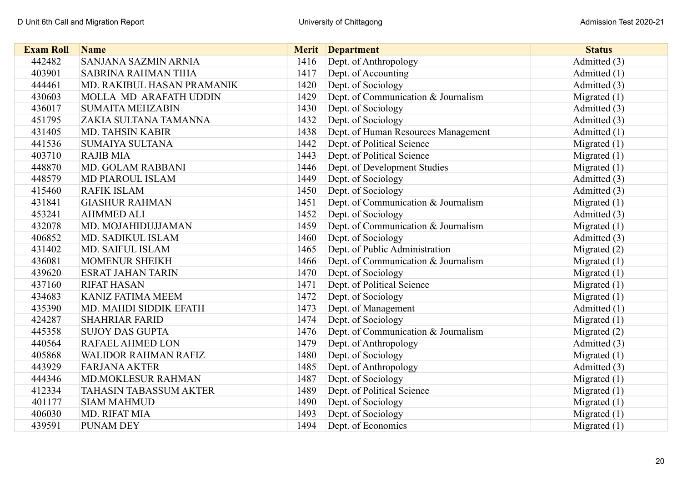| <b>Exam Roll</b> | <b>Name</b>                   |      | <b>Merit</b> Department             | <b>Status</b>  |
|------------------|-------------------------------|------|-------------------------------------|----------------|
| 442482           | <b>SANJANA SAZMIN ARNIA</b>   | 1416 | Dept. of Anthropology               | Admitted (3)   |
| 403901           | <b>SABRINA RAHMAN TIHA</b>    | 1417 | Dept. of Accounting                 | Admitted $(1)$ |
| 444461           | MD. RAKIBUL HASAN PRAMANIK    | 1420 | Dept. of Sociology                  | Admitted (3)   |
| 430603           | MOLLA MD ARAFATH UDDIN        | 1429 | Dept. of Communication & Journalism | Migrated $(1)$ |
| 436017           | <b>SUMAITA MEHZABIN</b>       | 1430 | Dept. of Sociology                  | Admitted (3)   |
| 451795           | ZAKIA SULTANA TAMANNA         | 1432 | Dept. of Sociology                  | Admitted (3)   |
| 431405           | MD. TAHSIN KABIR              | 1438 | Dept. of Human Resources Management | Admitted (1)   |
| 441536           | <b>SUMAIYA SULTANA</b>        | 1442 | Dept. of Political Science          | Migrated $(1)$ |
| 403710           | <b>RAJIB MIA</b>              | 1443 | Dept. of Political Science          | Migrated $(1)$ |
| 448870           | MD. GOLAM RABBANI             | 1446 | Dept. of Development Studies        | Migrated $(1)$ |
| 448579           | <b>MD PIAROUL ISLAM</b>       | 1449 | Dept. of Sociology                  | Admitted (3)   |
| 415460           | <b>RAFIK ISLAM</b>            | 1450 | Dept. of Sociology                  | Admitted (3)   |
| 431841           | <b>GIASHUR RAHMAN</b>         | 1451 | Dept. of Communication & Journalism | Migrated $(1)$ |
| 453241           | <b>AHMMED ALI</b>             | 1452 | Dept. of Sociology                  | Admitted (3)   |
| 432078           | MD. MOJAHIDUJJAMAN            | 1459 | Dept. of Communication & Journalism | Migrated $(1)$ |
| 406852           | MD. SADIKUL ISLAM             | 1460 | Dept. of Sociology                  | Admitted (3)   |
| 431402           | MD. SAIFUL ISLAM              | 1465 | Dept. of Public Administration      | Migrated $(2)$ |
| 436081           | <b>MOMENUR SHEIKH</b>         | 1466 | Dept. of Communication & Journalism | Migrated $(1)$ |
| 439620           | <b>ESRAT JAHAN TARIN</b>      | 1470 | Dept. of Sociology                  | Migrated $(1)$ |
| 437160           | <b>RIFAT HASAN</b>            | 1471 | Dept. of Political Science          | Migrated $(1)$ |
| 434683           | <b>KANIZ FATIMA MEEM</b>      | 1472 | Dept. of Sociology                  | Migrated $(1)$ |
| 435390           | MD. MAHDI SIDDIK EFATH        | 1473 | Dept. of Management                 | Admitted (1)   |
| 424287           | <b>SHAHRIAR FARID</b>         | 1474 | Dept. of Sociology                  | Migrated $(1)$ |
| 445358           | <b>SUJOY DAS GUPTA</b>        | 1476 | Dept. of Communication & Journalism | Migrated $(2)$ |
| 440564           | RAFAEL AHMED LON              | 1479 | Dept. of Anthropology               | Admitted (3)   |
| 405868           | <b>WALIDOR RAHMAN RAFIZ</b>   | 1480 | Dept. of Sociology                  | Migrated $(1)$ |
| 443929           | <b>FARJANA AKTER</b>          | 1485 | Dept. of Anthropology               | Admitted (3)   |
| 444346           | <b>MD.MOKLESUR RAHMAN</b>     | 1487 | Dept. of Sociology                  | Migrated $(1)$ |
| 412334           | <b>TAHASIN TABASSUM AKTER</b> | 1489 | Dept. of Political Science          | Migrated $(1)$ |
| 401177           | <b>SIAM MAHMUD</b>            | 1490 | Dept. of Sociology                  | Migrated $(1)$ |
| 406030           | MD. RIFAT MIA                 | 1493 | Dept. of Sociology                  | Migrated $(1)$ |
| 439591           | <b>PUNAM DEY</b>              | 1494 | Dept. of Economics                  | Migrated $(1)$ |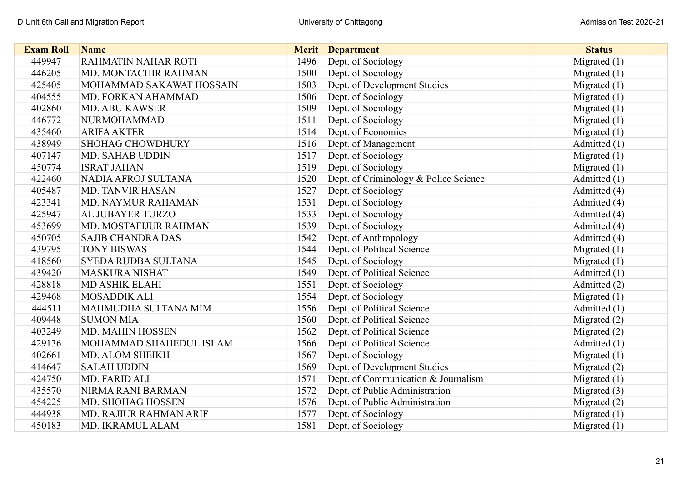| <b>Exam Roll</b> | <b>Name</b>                | <b>Merit</b> | <b>Department</b>                     | <b>Status</b>  |
|------------------|----------------------------|--------------|---------------------------------------|----------------|
| 449947           | <b>RAHMATIN NAHAR ROTI</b> | 1496         | Dept. of Sociology                    | Migrated $(1)$ |
| 446205           | MD. MONTACHIR RAHMAN       | 1500         | Dept. of Sociology                    | Migrated $(1)$ |
| 425405           | MOHAMMAD SAKAWAT HOSSAIN   | 1503         | Dept. of Development Studies          | Migrated $(1)$ |
| 404555           | MD. FORKAN AHAMMAD         | 1506         | Dept. of Sociology                    | Migrated $(1)$ |
| 402860           | <b>MD. ABU KAWSER</b>      | 1509         | Dept. of Sociology                    | Migrated $(1)$ |
| 446772           | <b>NURMOHAMMAD</b>         | 1511         | Dept. of Sociology                    | Migrated $(1)$ |
| 435460           | <b>ARIFA AKTER</b>         | 1514         | Dept. of Economics                    | Migrated $(1)$ |
| 438949           | <b>SHOHAG CHOWDHURY</b>    | 1516         | Dept. of Management                   | Admitted (1)   |
| 407147           | <b>MD. SAHAB UDDIN</b>     | 1517         | Dept. of Sociology                    | Migrated $(1)$ |
| 450774           | <b>ISRAT JAHAN</b>         | 1519         | Dept. of Sociology                    | Migrated $(1)$ |
| 422460           | NADIA AFROJ SULTANA        | 1520         | Dept. of Criminology & Police Science | Admitted (1)   |
| 405487           | <b>MD. TANVIR HASAN</b>    | 1527         | Dept. of Sociology                    | Admitted (4)   |
| 423341           | MD. NAYMUR RAHAMAN         | 1531         | Dept. of Sociology                    | Admitted (4)   |
| 425947           | AL JUBAYER TURZO           | 1533         | Dept. of Sociology                    | Admitted (4)   |
| 453699           | MD. MOSTAFIJUR RAHMAN      | 1539         | Dept. of Sociology                    | Admitted (4)   |
| 450705           | <b>SAJIB CHANDRA DAS</b>   | 1542         | Dept. of Anthropology                 | Admitted (4)   |
| 439795           | <b>TONY BISWAS</b>         | 1544         | Dept. of Political Science            | Migrated $(1)$ |
| 418560           | SYEDA RUDBA SULTANA        | 1545         | Dept. of Sociology                    | Migrated $(1)$ |
| 439420           | <b>MASKURA NISHAT</b>      | 1549         | Dept. of Political Science            | Admitted (1)   |
| 428818           | <b>MD ASHIK ELAHI</b>      | 1551         | Dept. of Sociology                    | Admitted (2)   |
| 429468           | <b>MOSADDIK ALI</b>        | 1554         | Dept. of Sociology                    | Migrated $(1)$ |
| 444511           | MAHMUDHA SULTANA MIM       | 1556         | Dept. of Political Science            | Admitted (1)   |
| 409448           | <b>SUMON MIA</b>           | 1560         | Dept. of Political Science            | Migrated $(2)$ |
| 403249           | MD. MAHIN HOSSEN           | 1562         | Dept. of Political Science            | Migrated $(2)$ |
| 429136           | MOHAMMAD SHAHEDUL ISLAM    | 1566         | Dept. of Political Science            | Admitted (1)   |
| 402661           | MD. ALOM SHEIKH            | 1567         | Dept. of Sociology                    | Migrated $(1)$ |
| 414647           | <b>SALAH UDDIN</b>         | 1569         | Dept. of Development Studies          | Migrated (2)   |
| 424750           | MD. FARID ALI              | 1571         | Dept. of Communication & Journalism   | Migrated $(1)$ |
| 435570           | NIRMA RANI BARMAN          | 1572         | Dept. of Public Administration        | Migrated $(3)$ |
| 454225           | MD. SHOHAG HOSSEN          | 1576         | Dept. of Public Administration        | Migrated $(2)$ |
| 444938           | MD. RAJIUR RAHMAN ARIF     | 1577         | Dept. of Sociology                    | Migrated $(1)$ |
| 450183           | MD. IKRAMUL ALAM           | 1581         | Dept. of Sociology                    | Migrated $(1)$ |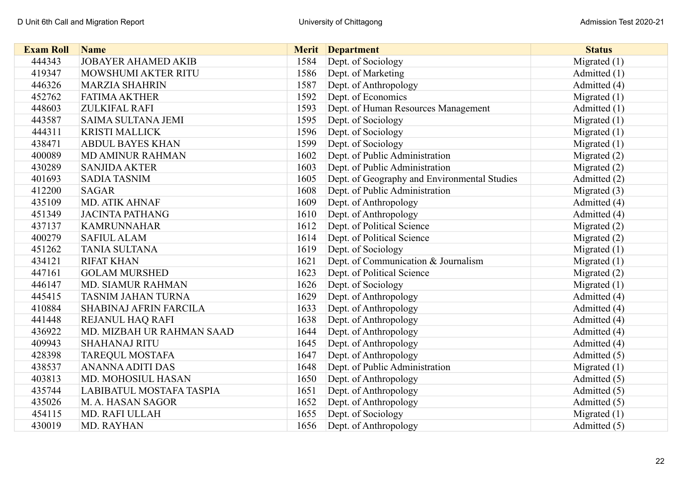| <b>Exam Roll</b> | <b>Name</b>                     | <b>Merit</b> | <b>Department</b>                            | <b>Status</b>  |
|------------------|---------------------------------|--------------|----------------------------------------------|----------------|
| 444343           | <b>JOBAYER AHAMED AKIB</b>      | 1584         | Dept. of Sociology                           | Migrated $(1)$ |
| 419347           | MOWSHUMI AKTER RITU             | 1586         | Dept. of Marketing                           | Admitted (1)   |
| 446326           | <b>MARZIA SHAHRIN</b>           | 1587         | Dept. of Anthropology                        | Admitted (4)   |
| 452762           | <b>FATIMA AKTHER</b>            | 1592         | Dept. of Economics                           | Migrated $(1)$ |
| 448603           | <b>ZULKIFAL RAFI</b>            | 1593         | Dept. of Human Resources Management          | Admitted (1)   |
| 443587           | <b>SAIMA SULTANA JEMI</b>       | 1595         | Dept. of Sociology                           | Migrated $(1)$ |
| 444311           | <b>KRISTI MALLICK</b>           | 1596         | Dept. of Sociology                           | Migrated $(1)$ |
| 438471           | <b>ABDUL BAYES KHAN</b>         | 1599         | Dept. of Sociology                           | Migrated $(1)$ |
| 400089           | <b>MD AMINUR RAHMAN</b>         | 1602         | Dept. of Public Administration               | Migrated $(2)$ |
| 430289           | <b>SANJIDA AKTER</b>            | 1603         | Dept. of Public Administration               | Migrated $(2)$ |
| 401693           | <b>SADIA TASNIM</b>             | 1605         | Dept. of Geography and Environmental Studies | Admitted (2)   |
| 412200           | <b>SAGAR</b>                    | 1608         | Dept. of Public Administration               | Migrated $(3)$ |
| 435109           | MD. ATIK AHNAF                  | 1609         | Dept. of Anthropology                        | Admitted (4)   |
| 451349           | <b>JACINTA PATHANG</b>          | 1610         | Dept. of Anthropology                        | Admitted (4)   |
| 437137           | <b>KAMRUNNAHAR</b>              | 1612         | Dept. of Political Science                   | Migrated (2)   |
| 400279           | <b>SAFIUL ALAM</b>              | 1614         | Dept. of Political Science                   | Migrated $(2)$ |
| 451262           | <b>TANIA SULTANA</b>            | 1619         | Dept. of Sociology                           | Migrated $(1)$ |
| 434121           | <b>RIFAT KHAN</b>               | 1621         | Dept. of Communication & Journalism          | Migrated $(1)$ |
| 447161           | <b>GOLAM MURSHED</b>            | 1623         | Dept. of Political Science                   | Migrated (2)   |
| 446147           | MD. SIAMUR RAHMAN               | 1626         | Dept. of Sociology                           | Migrated $(1)$ |
| 445415           | <b>TASNIM JAHAN TURNA</b>       | 1629         | Dept. of Anthropology                        | Admitted (4)   |
| 410884           | SHABINAJ AFRIN FARCILA          | 1633         | Dept. of Anthropology                        | Admitted (4)   |
| 441448           | REJANUL HAQ RAFI                | 1638         | Dept. of Anthropology                        | Admitted (4)   |
| 436922           | MD. MIZBAH UR RAHMAN SAAD       | 1644         | Dept. of Anthropology                        | Admitted (4)   |
| 409943           | <b>SHAHANAJ RITU</b>            | 1645         | Dept. of Anthropology                        | Admitted (4)   |
| 428398           | <b>TAREQUL MOSTAFA</b>          | 1647         | Dept. of Anthropology                        | Admitted (5)   |
| 438537           | <b>ANANNA ADITI DAS</b>         | 1648         | Dept. of Public Administration               | Migrated $(1)$ |
| 403813           | MD. MOHOSIUL HASAN              | 1650         | Dept. of Anthropology                        | Admitted (5)   |
| 435744           | <b>LABIBATUL MOSTAFA TASPIA</b> | 1651         | Dept. of Anthropology                        | Admitted (5)   |
| 435026           | M. A. HASAN SAGOR               | 1652         | Dept. of Anthropology                        | Admitted (5)   |
| 454115           | MD. RAFI ULLAH                  | 1655         | Dept. of Sociology                           | Migrated $(1)$ |
| 430019           | MD. RAYHAN                      | 1656         | Dept. of Anthropology                        | Admitted (5)   |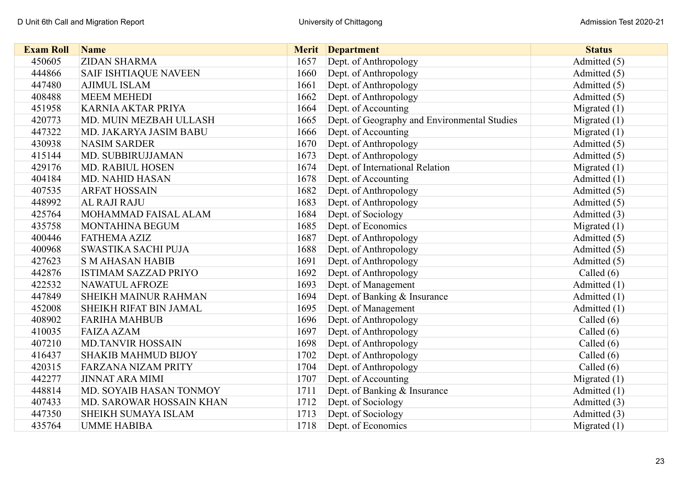| <b>Exam Roll</b> | <b>Name</b>                  |      | <b>Merit</b> Department                      | <b>Status</b>  |
|------------------|------------------------------|------|----------------------------------------------|----------------|
| 450605           | <b>ZIDAN SHARMA</b>          | 1657 | Dept. of Anthropology                        | Admitted (5)   |
| 444866           | <b>SAIF ISHTIAQUE NAVEEN</b> | 1660 | Dept. of Anthropology                        | Admitted (5)   |
| 447480           | <b>AJIMUL ISLAM</b>          | 1661 | Dept. of Anthropology                        | Admitted (5)   |
| 408488           | <b>MEEM MEHEDI</b>           | 1662 | Dept. of Anthropology                        | Admitted (5)   |
| 451958           | <b>KARNIA AKTAR PRIYA</b>    | 1664 | Dept. of Accounting                          | Migrated $(1)$ |
| 420773           | MD. MUIN MEZBAH ULLASH       | 1665 | Dept. of Geography and Environmental Studies | Migrated $(1)$ |
| 447322           | MD. JAKARYA JASIM BABU       | 1666 | Dept. of Accounting                          | Migrated $(1)$ |
| 430938           | <b>NASIM SARDER</b>          | 1670 | Dept. of Anthropology                        | Admitted (5)   |
| 415144           | MD. SUBBIRUJJAMAN            | 1673 | Dept. of Anthropology                        | Admitted (5)   |
| 429176           | <b>MD. RABIUL HOSEN</b>      | 1674 | Dept. of International Relation              | Migrated $(1)$ |
| 404184           | <b>MD. NAHID HASAN</b>       | 1678 | Dept. of Accounting                          | Admitted (1)   |
| 407535           | <b>ARFAT HOSSAIN</b>         | 1682 | Dept. of Anthropology                        | Admitted (5)   |
| 448992           | AL RAJI RAJU                 | 1683 | Dept. of Anthropology                        | Admitted (5)   |
| 425764           | MOHAMMAD FAISAL ALAM         | 1684 | Dept. of Sociology                           | Admitted (3)   |
| 435758           | MONTAHINA BEGUM              | 1685 | Dept. of Economics                           | Migrated $(1)$ |
| 400446           | <b>FATHEMA AZIZ</b>          | 1687 | Dept. of Anthropology                        | Admitted (5)   |
| 400968           | SWASTIKA SACHI PUJA          | 1688 | Dept. of Anthropology                        | Admitted (5)   |
| 427623           | <b>S M AHASAN HABIB</b>      | 1691 | Dept. of Anthropology                        | Admitted (5)   |
| 442876           | <b>ISTIMAM SAZZAD PRIYO</b>  | 1692 | Dept. of Anthropology                        | Called $(6)$   |
| 422532           | NAWATUL AFROZE               | 1693 | Dept. of Management                          | Admitted (1)   |
| 447849           | <b>SHEIKH MAINUR RAHMAN</b>  | 1694 | Dept. of Banking & Insurance                 | Admitted (1)   |
| 452008           | SHEIKH RIFAT BIN JAMAL       | 1695 | Dept. of Management                          | Admitted (1)   |
| 408902           | <b>FARIHA MAHBUB</b>         | 1696 | Dept. of Anthropology                        | Called $(6)$   |
| 410035           | <b>FAIZA AZAM</b>            | 1697 | Dept. of Anthropology                        | Called $(6)$   |
| 407210           | <b>MD.TANVIR HOSSAIN</b>     | 1698 | Dept. of Anthropology                        | Called $(6)$   |
| 416437           | <b>SHAKIB MAHMUD BIJOY</b>   | 1702 | Dept. of Anthropology                        | Called $(6)$   |
| 420315           | <b>FARZANA NIZAM PRITY</b>   | 1704 | Dept. of Anthropology                        | Called (6)     |
| 442277           | <b>JINNAT ARA MIMI</b>       | 1707 | Dept. of Accounting                          | Migrated $(1)$ |
| 448814           | MD. SOYAIB HASAN TONMOY      | 1711 | Dept. of Banking & Insurance                 | Admitted (1)   |
| 407433           | MD. SAROWAR HOSSAIN KHAN     | 1712 | Dept. of Sociology                           | Admitted (3)   |
| 447350           | SHEIKH SUMAYA ISLAM          | 1713 | Dept. of Sociology                           | Admitted (3)   |
| 435764           | <b>UMME HABIBA</b>           | 1718 | Dept. of Economics                           | Migrated $(1)$ |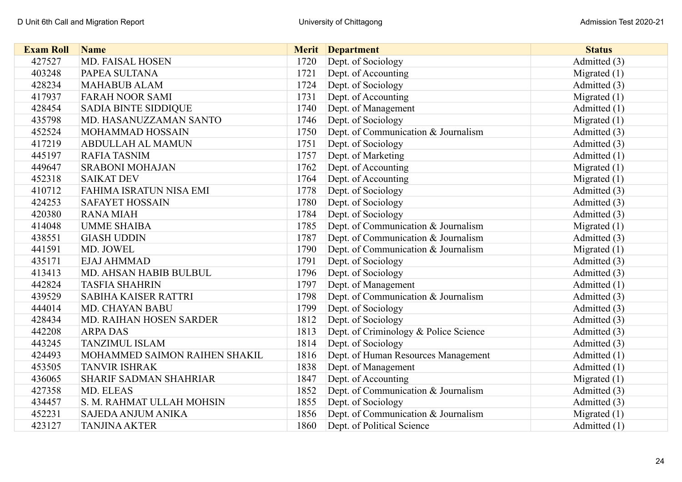| <b>Exam Roll</b> | <b>Name</b>                    |      | <b>Merit</b> Department               | <b>Status</b>  |
|------------------|--------------------------------|------|---------------------------------------|----------------|
| 427527           | <b>MD. FAISAL HOSEN</b>        | 1720 | Dept. of Sociology                    | Admitted (3)   |
| 403248           | PAPEA SULTANA                  | 1721 | Dept. of Accounting                   | Migrated $(1)$ |
| 428234           | <b>MAHABUB ALAM</b>            | 1724 | Dept. of Sociology                    | Admitted (3)   |
| 417937           | <b>FARAH NOOR SAMI</b>         | 1731 | Dept. of Accounting                   | Migrated $(1)$ |
| 428454           | <b>SADIA BINTE SIDDIQUE</b>    | 1740 | Dept. of Management                   | Admitted (1)   |
| 435798           | MD. HASANUZZAMAN SANTO         | 1746 | Dept. of Sociology                    | Migrated $(1)$ |
| 452524           | MOHAMMAD HOSSAIN               | 1750 | Dept. of Communication & Journalism   | Admitted (3)   |
| 417219           | <b>ABDULLAH AL MAMUN</b>       | 1751 | Dept. of Sociology                    | Admitted (3)   |
| 445197           | <b>RAFIA TASNIM</b>            | 1757 | Dept. of Marketing                    | Admitted (1)   |
| 449647           | <b>SRABONI MOHAJAN</b>         | 1762 | Dept. of Accounting                   | Migrated $(1)$ |
| 452318           | <b>SAIKAT DEV</b>              | 1764 | Dept. of Accounting                   | Migrated $(1)$ |
| 410712           | <b>FAHIMA ISRATUN NISA EMI</b> | 1778 | Dept. of Sociology                    | Admitted (3)   |
| 424253           | <b>SAFAYET HOSSAIN</b>         | 1780 | Dept. of Sociology                    | Admitted (3)   |
| 420380           | <b>RANA MIAH</b>               | 1784 | Dept. of Sociology                    | Admitted (3)   |
| 414048           | <b>UMME SHAIBA</b>             | 1785 | Dept. of Communication & Journalism   | Migrated $(1)$ |
| 438551           | <b>GIASH UDDIN</b>             | 1787 | Dept. of Communication & Journalism   | Admitted (3)   |
| 441591           | MD. JOWEL                      | 1790 | Dept. of Communication & Journalism   | Migrated $(1)$ |
| 435171           | <b>EJAJ AHMMAD</b>             | 1791 | Dept. of Sociology                    | Admitted (3)   |
| 413413           | MD. AHSAN HABIB BULBUL         | 1796 | Dept. of Sociology                    | Admitted (3)   |
| 442824           | <b>TASFIA SHAHRIN</b>          | 1797 | Dept. of Management                   | Admitted (1)   |
| 439529           | <b>SABIHA KAISER RATTRI</b>    | 1798 | Dept. of Communication & Journalism   | Admitted (3)   |
| 444014           | <b>MD. CHAYAN BABU</b>         | 1799 | Dept. of Sociology                    | Admitted (3)   |
| 428434           | MD. RAIHAN HOSEN SARDER        | 1812 | Dept. of Sociology                    | Admitted (3)   |
| 442208           | <b>ARPADAS</b>                 | 1813 | Dept. of Criminology & Police Science | Admitted (3)   |
| 443245           | <b>TANZIMUL ISLAM</b>          | 1814 | Dept. of Sociology                    | Admitted (3)   |
| 424493           | MOHAMMED SAIMON RAIHEN SHAKIL  | 1816 | Dept. of Human Resources Management   | Admitted (1)   |
| 453505           | <b>TANVIR ISHRAK</b>           | 1838 | Dept. of Management                   | Admitted (1)   |
| 436065           | <b>SHARIF SADMAN SHAHRIAR</b>  | 1847 | Dept. of Accounting                   | Migrated $(1)$ |
| 427358           | MD. ELEAS                      | 1852 | Dept. of Communication & Journalism   | Admitted (3)   |
| 434457           | S. M. RAHMAT ULLAH MOHSIN      | 1855 | Dept. of Sociology                    | Admitted (3)   |
| 452231           | <b>SAJEDA ANJUM ANIKA</b>      | 1856 | Dept. of Communication & Journalism   | Migrated $(1)$ |
| 423127           | <b>TANJINA AKTER</b>           | 1860 | Dept. of Political Science            | Admitted (1)   |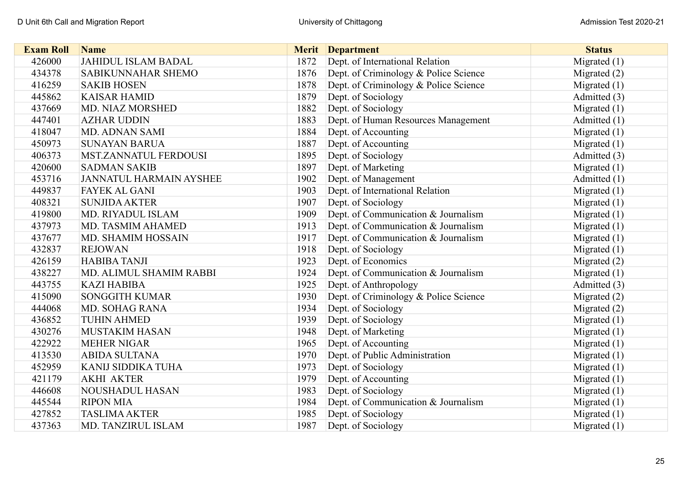| <b>Exam Roll</b> | <b>Name</b>                    |      | <b>Merit</b> Department               | <b>Status</b>  |
|------------------|--------------------------------|------|---------------------------------------|----------------|
| 426000           | <b>JAHIDUL ISLAM BADAL</b>     | 1872 | Dept. of International Relation       | Migrated $(1)$ |
| 434378           | SABIKUNNAHAR SHEMO             | 1876 | Dept. of Criminology & Police Science | Migrated $(2)$ |
| 416259           | <b>SAKIB HOSEN</b>             | 1878 | Dept. of Criminology & Police Science | Migrated $(1)$ |
| 445862           | <b>KAISAR HAMID</b>            | 1879 | Dept. of Sociology                    | Admitted (3)   |
| 437669           | <b>MD. NIAZ MORSHED</b>        | 1882 | Dept. of Sociology                    | Migrated $(1)$ |
| 447401           | <b>AZHAR UDDIN</b>             | 1883 | Dept. of Human Resources Management   | Admitted (1)   |
| 418047           | <b>MD. ADNAN SAMI</b>          | 1884 | Dept. of Accounting                   | Migrated $(1)$ |
| 450973           | <b>SUNAYAN BARUA</b>           | 1887 | Dept. of Accounting                   | Migrated $(1)$ |
| 406373           | MST.ZANNATUL FERDOUSI          | 1895 | Dept. of Sociology                    | Admitted (3)   |
| 420600           | <b>SADMAN SAKIB</b>            | 1897 | Dept. of Marketing                    | Migrated $(1)$ |
| 453716           | <b>JANNATUL HARMAIN AYSHEE</b> | 1902 | Dept. of Management                   | Admitted (1)   |
| 449837           | <b>FAYEK AL GANI</b>           | 1903 | Dept. of International Relation       | Migrated $(1)$ |
| 408321           | <b>SUNJIDA AKTER</b>           | 1907 | Dept. of Sociology                    | Migrated $(1)$ |
| 419800           | MD. RIYADUL ISLAM              | 1909 | Dept. of Communication & Journalism   | Migrated $(1)$ |
| 437973           | MD. TASMIM AHAMED              | 1913 | Dept. of Communication & Journalism   | Migrated $(1)$ |
| 437677           | MD. SHAMIM HOSSAIN             | 1917 | Dept. of Communication & Journalism   | Migrated $(1)$ |
| 432837           | <b>REJOWAN</b>                 | 1918 | Dept. of Sociology                    | Migrated $(1)$ |
| 426159           | <b>HABIBA TANJI</b>            | 1923 | Dept. of Economics                    | Migrated (2)   |
| 438227           | MD. ALIMUL SHAMIM RABBI        | 1924 | Dept. of Communication & Journalism   | Migrated $(1)$ |
| 443755           | <b>KAZI HABIBA</b>             | 1925 | Dept. of Anthropology                 | Admitted (3)   |
| 415090           | <b>SONGGITH KUMAR</b>          | 1930 | Dept. of Criminology & Police Science | Migrated $(2)$ |
| 444068           | <b>MD. SOHAG RANA</b>          | 1934 | Dept. of Sociology                    | Migrated (2)   |
| 436852           | <b>TUHIN AHMED</b>             | 1939 | Dept. of Sociology                    | Migrated $(1)$ |
| 430276           | <b>MUSTAKIM HASAN</b>          | 1948 | Dept. of Marketing                    | Migrated $(1)$ |
| 422922           | <b>MEHER NIGAR</b>             | 1965 | Dept. of Accounting                   | Migrated $(1)$ |
| 413530           | <b>ABIDA SULTANA</b>           | 1970 | Dept. of Public Administration        | Migrated $(1)$ |
| 452959           | KANIJ SIDDIKA TUHA             | 1973 | Dept. of Sociology                    | Migrated $(1)$ |
| 421179           | <b>AKHI AKTER</b>              | 1979 | Dept. of Accounting                   | Migrated $(1)$ |
| 446608           | <b>NOUSHADUL HASAN</b>         | 1983 | Dept. of Sociology                    | Migrated $(1)$ |
| 445544           | <b>RIPON MIA</b>               | 1984 | Dept. of Communication & Journalism   | Migrated $(1)$ |
| 427852           | <b>TASLIMA AKTER</b>           | 1985 | Dept. of Sociology                    | Migrated $(1)$ |
| 437363           | MD. TANZIRUL ISLAM             | 1987 | Dept. of Sociology                    | Migrated $(1)$ |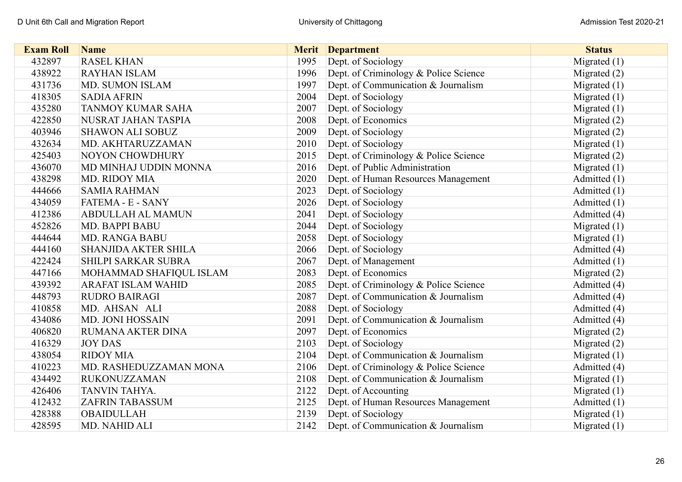| <b>Exam Roll</b> | <b>Name</b>                 |      | <b>Merit</b> Department               | <b>Status</b>  |
|------------------|-----------------------------|------|---------------------------------------|----------------|
| 432897           | <b>RASEL KHAN</b>           | 1995 | Dept. of Sociology                    | Migrated $(1)$ |
| 438922           | <b>RAYHAN ISLAM</b>         | 1996 | Dept. of Criminology & Police Science | Migrated $(2)$ |
| 431736           | <b>MD. SUMON ISLAM</b>      | 1997 | Dept. of Communication & Journalism   | Migrated $(1)$ |
| 418305           | <b>SADIA AFRIN</b>          | 2004 | Dept. of Sociology                    | Migrated $(1)$ |
| 435280           | <b>TANMOY KUMAR SAHA</b>    | 2007 | Dept. of Sociology                    | Migrated $(1)$ |
| 422850           | NUSRAT JAHAN TASPIA         | 2008 | Dept. of Economics                    | Migrated (2)   |
| 403946           | <b>SHAWON ALI SOBUZ</b>     | 2009 | Dept. of Sociology                    | Migrated (2)   |
| 432634           | MD. AKHTARUZZAMAN           | 2010 | Dept. of Sociology                    | Migrated $(1)$ |
| 425403           | <b>NOYON CHOWDHURY</b>      | 2015 | Dept. of Criminology & Police Science | Migrated (2)   |
| 436070           | MD MINHAJ UDDIN MONNA       | 2016 | Dept. of Public Administration        | Migrated $(1)$ |
| 438298           | <b>MD. RIDOY MIA</b>        | 2020 | Dept. of Human Resources Management   | Admitted (1)   |
| 444666           | <b>SAMIA RAHMAN</b>         | 2023 | Dept. of Sociology                    | Admitted (1)   |
| 434059           | FATEMA - E - SANY           | 2026 | Dept. of Sociology                    | Admitted (1)   |
| 412386           | <b>ABDULLAH AL MAMUN</b>    | 2041 | Dept. of Sociology                    | Admitted (4)   |
| 452826           | <b>MD. BAPPI BABU</b>       | 2044 | Dept. of Sociology                    | Migrated $(1)$ |
| 444644           | <b>MD. RANGA BABU</b>       | 2058 | Dept. of Sociology                    | Migrated $(1)$ |
| 444160           | <b>SHANJIDA AKTER SHILA</b> | 2066 | Dept. of Sociology                    | Admitted (4)   |
| 422424           | SHILPI SARKAR SUBRA         | 2067 | Dept. of Management                   | Admitted (1)   |
| 447166           | MOHAMMAD SHAFIQUL ISLAM     | 2083 | Dept. of Economics                    | Migrated $(2)$ |
| 439392           | <b>ARAFAT ISLAM WAHID</b>   | 2085 | Dept. of Criminology & Police Science | Admitted (4)   |
| 448793           | <b>RUDRO BAIRAGI</b>        | 2087 | Dept. of Communication & Journalism   | Admitted (4)   |
| 410858           | MD. AHSAN ALI               | 2088 | Dept. of Sociology                    | Admitted (4)   |
| 434086           | <b>MD. JONI HOSSAIN</b>     | 2091 | Dept. of Communication & Journalism   | Admitted (4)   |
| 406820           | RUMANA AKTER DINA           | 2097 | Dept. of Economics                    | Migrated $(2)$ |
| 416329           | <b>JOY DAS</b>              | 2103 | Dept. of Sociology                    | Migrated (2)   |
| 438054           | <b>RIDOY MIA</b>            | 2104 | Dept. of Communication & Journalism   | Migrated $(1)$ |
| 410223           | MD. RASHEDUZZAMAN MONA      | 2106 | Dept. of Criminology & Police Science | Admitted (4)   |
| 434492           | <b>RUKONUZZAMAN</b>         | 2108 | Dept. of Communication & Journalism   | Migrated $(1)$ |
| 426406           | TANVIN TAHYA.               | 2122 | Dept. of Accounting                   | Migrated $(1)$ |
| 412432           | <b>ZAFRIN TABASSUM</b>      | 2125 | Dept. of Human Resources Management   | Admitted (1)   |
| 428388           | <b>OBAIDULLAH</b>           | 2139 | Dept. of Sociology                    | Migrated $(1)$ |
| 428595           | MD. NAHID ALI               | 2142 | Dept. of Communication & Journalism   | Migrated $(1)$ |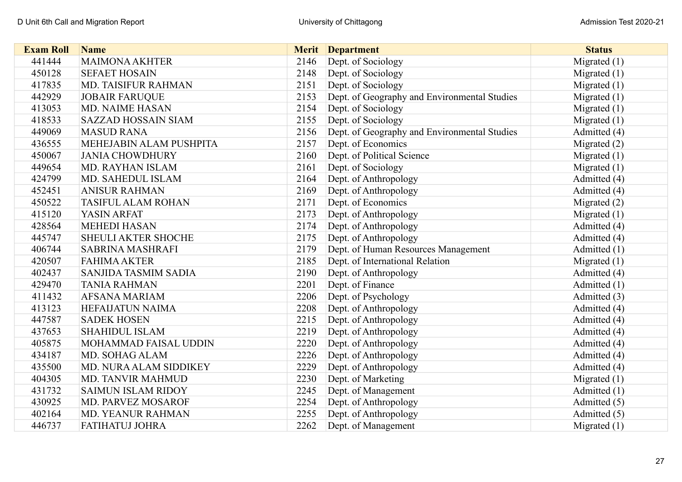| <b>Exam Roll</b> | <b>Name</b>                |      | <b>Merit</b> Department                      | <b>Status</b>  |
|------------------|----------------------------|------|----------------------------------------------|----------------|
| 441444           | <b>MAIMONA AKHTER</b>      | 2146 | Dept. of Sociology                           | Migrated $(1)$ |
| 450128           | <b>SEFAET HOSAIN</b>       | 2148 | Dept. of Sociology                           | Migrated $(1)$ |
| 417835           | MD. TAISIFUR RAHMAN        | 2151 | Dept. of Sociology                           | Migrated $(1)$ |
| 442929           | <b>JOBAIR FARUQUE</b>      | 2153 | Dept. of Geography and Environmental Studies | Migrated $(1)$ |
| 413053           | <b>MD. NAIME HASAN</b>     | 2154 | Dept. of Sociology                           | Migrated $(1)$ |
| 418533           | <b>SAZZAD HOSSAIN SIAM</b> | 2155 | Dept. of Sociology                           | Migrated $(1)$ |
| 449069           | <b>MASUD RANA</b>          | 2156 | Dept. of Geography and Environmental Studies | Admitted (4)   |
| 436555           | MEHEJABIN ALAM PUSHPITA    | 2157 | Dept. of Economics                           | Migrated $(2)$ |
| 450067           | <b>JANIA CHOWDHURY</b>     | 2160 | Dept. of Political Science                   | Migrated $(1)$ |
| 449654           | MD. RAYHAN ISLAM           | 2161 | Dept. of Sociology                           | Migrated $(1)$ |
| 424799           | MD. SAHEDUL ISLAM          | 2164 | Dept. of Anthropology                        | Admitted (4)   |
| 452451           | <b>ANISUR RAHMAN</b>       | 2169 | Dept. of Anthropology                        | Admitted (4)   |
| 450522           | <b>TASIFUL ALAM ROHAN</b>  | 2171 | Dept. of Economics                           | Migrated $(2)$ |
| 415120           | YASIN ARFAT                | 2173 | Dept. of Anthropology                        | Migrated $(1)$ |
| 428564           | <b>MEHEDI HASAN</b>        | 2174 | Dept. of Anthropology                        | Admitted (4)   |
| 445747           | SHEULI AKTER SHOCHE        | 2175 | Dept. of Anthropology                        | Admitted (4)   |
| 406744           | SABRINA MASHRAFI           | 2179 | Dept. of Human Resources Management          | Admitted (1)   |
| 420507           | <b>FAHIMA AKTER</b>        | 2185 | Dept. of International Relation              | Migrated $(1)$ |
| 402437           | SANJIDA TASMIM SADIA       | 2190 | Dept. of Anthropology                        | Admitted (4)   |
| 429470           | <b>TANIA RAHMAN</b>        | 2201 | Dept. of Finance                             | Admitted $(1)$ |
| 411432           | AFSANA MARIAM              | 2206 | Dept. of Psychology                          | Admitted (3)   |
| 413123           | <b>HEFAIJATUN NAIMA</b>    | 2208 | Dept. of Anthropology                        | Admitted (4)   |
| 447587           | <b>SADEK HOSEN</b>         | 2215 | Dept. of Anthropology                        | Admitted (4)   |
| 437653           | <b>SHAHIDUL ISLAM</b>      | 2219 | Dept. of Anthropology                        | Admitted (4)   |
| 405875           | MOHAMMAD FAISAL UDDIN      | 2220 | Dept. of Anthropology                        | Admitted (4)   |
| 434187           | MD. SOHAG ALAM             | 2226 | Dept. of Anthropology                        | Admitted (4)   |
| 435500           | MD. NURA ALAM SIDDIKEY     | 2229 | Dept. of Anthropology                        | Admitted (4)   |
| 404305           | MD. TANVIR MAHMUD          | 2230 | Dept. of Marketing                           | Migrated $(1)$ |
| 431732           | <b>SAIMUN ISLAM RIDOY</b>  | 2245 | Dept. of Management                          | Admitted (1)   |
| 430925           | MD. PARVEZ MOSAROF         | 2254 | Dept. of Anthropology                        | Admitted (5)   |
| 402164           | MD. YEANUR RAHMAN          | 2255 | Dept. of Anthropology                        | Admitted (5)   |
| 446737           | <b>FATIHATUJ JOHRA</b>     | 2262 | Dept. of Management                          | Migrated $(1)$ |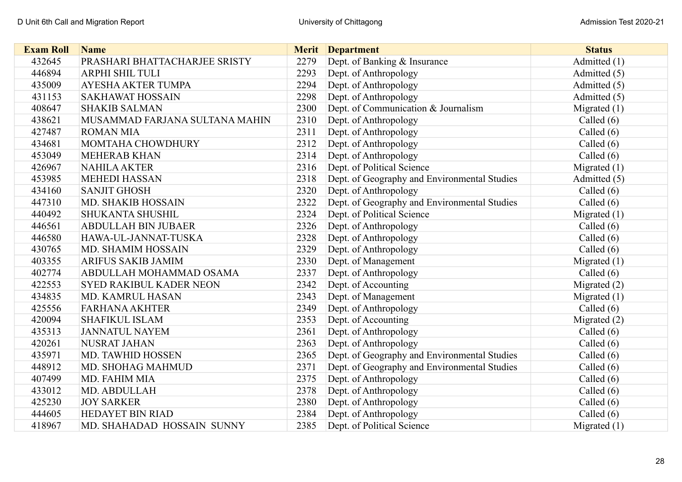| <b>Exam Roll</b> | <b>Name</b>                    | <b>Merit</b> | <b>Department</b>                            | <b>Status</b>  |
|------------------|--------------------------------|--------------|----------------------------------------------|----------------|
| 432645           | PRASHARI BHATTACHARJEE SRISTY  | 2279         | Dept. of Banking & Insurance                 | Admitted (1)   |
| 446894           | ARPHI SHIL TULI                | 2293         | Dept. of Anthropology                        | Admitted (5)   |
| 435009           | <b>AYESHA AKTER TUMPA</b>      | 2294         | Dept. of Anthropology                        | Admitted (5)   |
| 431153           | <b>SAKHAWAT HOSSAIN</b>        | 2298         | Dept. of Anthropology                        | Admitted (5)   |
| 408647           | <b>SHAKIB SALMAN</b>           | 2300         | Dept. of Communication & Journalism          | Migrated $(1)$ |
| 438621           | MUSAMMAD FARJANA SULTANA MAHIN | 2310         | Dept. of Anthropology                        | Called $(6)$   |
| 427487           | <b>ROMAN MIA</b>               | 2311         | Dept. of Anthropology                        | Called $(6)$   |
| 434681           | MOMTAHA CHOWDHURY              | 2312         | Dept. of Anthropology                        | Called $(6)$   |
| 453049           | <b>MEHERAB KHAN</b>            | 2314         | Dept. of Anthropology                        | Called $(6)$   |
| 426967           | <b>NAHILA AKTER</b>            | 2316         | Dept. of Political Science                   | Migrated $(1)$ |
| 453985           | <b>MEHEDI HASSAN</b>           | 2318         | Dept. of Geography and Environmental Studies | Admitted (5)   |
| 434160           | <b>SANJIT GHOSH</b>            | 2320         | Dept. of Anthropology                        | Called $(6)$   |
| 447310           | <b>MD. SHAKIB HOSSAIN</b>      | 2322         | Dept. of Geography and Environmental Studies | Called $(6)$   |
| 440492           | <b>SHUKANTA SHUSHIL</b>        | 2324         | Dept. of Political Science                   | Migrated $(1)$ |
| 446561           | <b>ABDULLAH BIN JUBAER</b>     | 2326         | Dept. of Anthropology                        | Called $(6)$   |
| 446580           | HAWA-UL-JANNAT-TUSKA           | 2328         | Dept. of Anthropology                        | Called $(6)$   |
| 430765           | MD. SHAMIM HOSSAIN             | 2329         | Dept. of Anthropology                        | Called $(6)$   |
| 403355           | ARIFUS SAKIB JAMIM             | 2330         | Dept. of Management                          | Migrated $(1)$ |
| 402774           | ABDULLAH MOHAMMAD OSAMA        | 2337         | Dept. of Anthropology                        | Called $(6)$   |
| 422553           | <b>SYED RAKIBUL KADER NEON</b> | 2342         | Dept. of Accounting                          | Migrated $(2)$ |
| 434835           | MD. KAMRUL HASAN               | 2343         | Dept. of Management                          | Migrated $(1)$ |
| 425556           | <b>FARHANA AKHTER</b>          | 2349         | Dept. of Anthropology                        | Called $(6)$   |
| 420094           | <b>SHAFIKUL ISLAM</b>          | 2353         | Dept. of Accounting                          | Migrated $(2)$ |
| 435313           | <b>JANNATUL NAYEM</b>          | 2361         | Dept. of Anthropology                        | Called $(6)$   |
| 420261           | <b>NUSRAT JAHAN</b>            | 2363         | Dept. of Anthropology                        | Called $(6)$   |
| 435971           | MD. TAWHID HOSSEN              | 2365         | Dept. of Geography and Environmental Studies | Called $(6)$   |
| 448912           | MD. SHOHAG MAHMUD              | 2371         | Dept. of Geography and Environmental Studies | Called $(6)$   |
| 407499           | MD. FAHIM MIA                  | 2375         | Dept. of Anthropology                        | Called $(6)$   |
| 433012           | MD. ABDULLAH                   | 2378         | Dept. of Anthropology                        | Called (6)     |
| 425230           | <b>JOY SARKER</b>              | 2380         | Dept. of Anthropology                        | Called $(6)$   |
| 444605           | <b>HEDAYET BIN RIAD</b>        | 2384         | Dept. of Anthropology                        | Called $(6)$   |
| 418967           | MD. SHAHADAD HOSSAIN SUNNY     | 2385         | Dept. of Political Science                   | Migrated $(1)$ |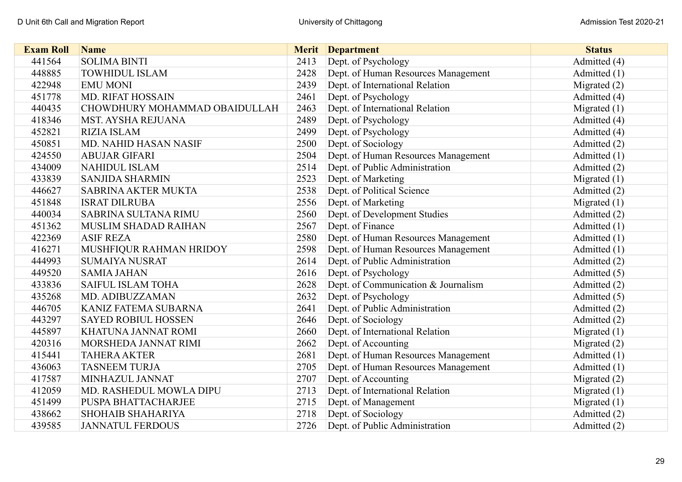| <b>Exam Roll</b> | <b>Name</b>                   |      | <b>Merit</b> Department             | <b>Status</b>  |
|------------------|-------------------------------|------|-------------------------------------|----------------|
| 441564           | <b>SOLIMA BINTI</b>           | 2413 | Dept. of Psychology                 | Admitted (4)   |
| 448885           | <b>TOWHIDUL ISLAM</b>         | 2428 | Dept. of Human Resources Management | Admitted $(1)$ |
| 422948           | <b>EMU MONI</b>               | 2439 | Dept. of International Relation     | Migrated $(2)$ |
| 451778           | <b>MD. RIFAT HOSSAIN</b>      | 2461 | Dept. of Psychology                 | Admitted (4)   |
| 440435           | CHOWDHURY MOHAMMAD OBAIDULLAH | 2463 | Dept. of International Relation     | Migrated $(1)$ |
| 418346           | <b>MST. AYSHA REJUANA</b>     | 2489 | Dept. of Psychology                 | Admitted (4)   |
| 452821           | <b>RIZIA ISLAM</b>            | 2499 | Dept. of Psychology                 | Admitted (4)   |
| 450851           | MD. NAHID HASAN NASIF         | 2500 | Dept. of Sociology                  | Admitted (2)   |
| 424550           | <b>ABUJAR GIFARI</b>          | 2504 | Dept. of Human Resources Management | Admitted (1)   |
| 434009           | <b>NAHIDUL ISLAM</b>          | 2514 | Dept. of Public Administration      | Admitted (2)   |
| 433839           | <b>SANJIDA SHARMIN</b>        | 2523 | Dept. of Marketing                  | Migrated $(1)$ |
| 446627           | <b>SABRINA AKTER MUKTA</b>    | 2538 | Dept. of Political Science          | Admitted (2)   |
| 451848           | <b>ISRAT DILRUBA</b>          | 2556 | Dept. of Marketing                  | Migrated $(1)$ |
| 440034           | <b>SABRINA SULTANA RIMU</b>   | 2560 | Dept. of Development Studies        | Admitted (2)   |
| 451362           | MUSLIM SHADAD RAIHAN          | 2567 | Dept. of Finance                    | Admitted (1)   |
| 422369           | <b>ASIF REZA</b>              | 2580 | Dept. of Human Resources Management | Admitted (1)   |
| 416271           | MUSHFIQUR RAHMAN HRIDOY       | 2598 | Dept. of Human Resources Management | Admitted (1)   |
| 444993           | <b>SUMAIYA NUSRAT</b>         | 2614 | Dept. of Public Administration      | Admitted (2)   |
| 449520           | <b>SAMIA JAHAN</b>            | 2616 | Dept. of Psychology                 | Admitted (5)   |
| 433836           | <b>SAIFUL ISLAM TOHA</b>      | 2628 | Dept. of Communication & Journalism | Admitted (2)   |
| 435268           | MD. ADIBUZZAMAN               | 2632 | Dept. of Psychology                 | Admitted (5)   |
| 446705           | KANIZ FATEMA SUBARNA          | 2641 | Dept. of Public Administration      | Admitted (2)   |
| 443297           | <b>SAYED ROBIUL HOSSEN</b>    | 2646 | Dept. of Sociology                  | Admitted (2)   |
| 445897           | KHATUNA JANNAT ROMI           | 2660 | Dept. of International Relation     | Migrated $(1)$ |
| 420316           | MORSHEDA JANNAT RIMI          | 2662 | Dept. of Accounting                 | Migrated $(2)$ |
| 415441           | <b>TAHERA AKTER</b>           | 2681 | Dept. of Human Resources Management | Admitted (1)   |
| 436063           | <b>TASNEEM TURJA</b>          | 2705 | Dept. of Human Resources Management | Admitted (1)   |
| 417587           | MINHAZUL JANNAT               | 2707 | Dept. of Accounting                 | Migrated $(2)$ |
| 412059           | MD. RASHEDUL MOWLA DIPU       | 2713 | Dept. of International Relation     | Migrated $(1)$ |
| 451499           | PUSPA BHATTACHARJEE           | 2715 | Dept. of Management                 | Migrated $(1)$ |
| 438662           | <b>SHOHAIB SHAHARIYA</b>      | 2718 | Dept. of Sociology                  | Admitted (2)   |
| 439585           | <b>JANNATUL FERDOUS</b>       | 2726 | Dept. of Public Administration      | Admitted (2)   |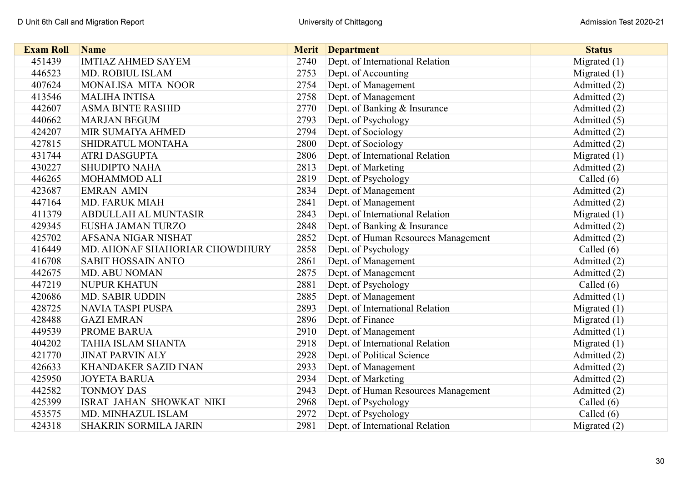| <b>Exam Roll</b> | <b>Name</b>                     | <b>Merit</b> | <b>Department</b>                   | <b>Status</b>  |
|------------------|---------------------------------|--------------|-------------------------------------|----------------|
| 451439           | <b>IMTIAZ AHMED SAYEM</b>       | 2740         | Dept. of International Relation     | Migrated $(1)$ |
| 446523           | MD. ROBIUL ISLAM                | 2753         | Dept. of Accounting                 | Migrated $(1)$ |
| 407624           | MONALISA MITA NOOR              | 2754         | Dept. of Management                 | Admitted (2)   |
| 413546           | <b>MALIHA INTISA</b>            | 2758         | Dept. of Management                 | Admitted (2)   |
| 442607           | <b>ASMA BINTE RASHID</b>        | 2770         | Dept. of Banking & Insurance        | Admitted (2)   |
| 440662           | <b>MARJAN BEGUM</b>             | 2793         | Dept. of Psychology                 | Admitted (5)   |
| 424207           | MIR SUMAIYA AHMED               | 2794         | Dept. of Sociology                  | Admitted (2)   |
| 427815           | SHIDRATUL MONTAHA               | 2800         | Dept. of Sociology                  | Admitted (2)   |
| 431744           | <b>ATRI DASGUPTA</b>            | 2806         | Dept. of International Relation     | Migrated $(1)$ |
| 430227           | <b>SHUDIPTO NAHA</b>            | 2813         | Dept. of Marketing                  | Admitted (2)   |
| 446265           | <b>MOHAMMOD ALI</b>             | 2819         | Dept. of Psychology                 | Called $(6)$   |
| 423687           | <b>EMRAN AMIN</b>               | 2834         | Dept. of Management                 | Admitted (2)   |
| 447164           | <b>MD. FARUK MIAH</b>           | 2841         | Dept. of Management                 | Admitted (2)   |
| 411379           | <b>ABDULLAH AL MUNTASIR</b>     | 2843         | Dept. of International Relation     | Migrated $(1)$ |
| 429345           | EUSHA JAMAN TURZO               | 2848         | Dept. of Banking & Insurance        | Admitted (2)   |
| 425702           | AFSANA NIGAR NISHAT             | 2852         | Dept. of Human Resources Management | Admitted (2)   |
| 416449           | MD. AHONAF SHAHORIAR CHOWDHURY  | 2858         | Dept. of Psychology                 | Called $(6)$   |
| 416708           | <b>SABIT HOSSAIN ANTO</b>       | 2861         | Dept. of Management                 | Admitted (2)   |
| 442675           | <b>MD. ABU NOMAN</b>            | 2875         | Dept. of Management                 | Admitted (2)   |
| 447219           | <b>NUPUR KHATUN</b>             | 2881         | Dept. of Psychology                 | Called $(6)$   |
| 420686           | <b>MD. SABIR UDDIN</b>          | 2885         | Dept. of Management                 | Admitted (1)   |
| 428725           | <b>NAVIA TASPI PUSPA</b>        | 2893         | Dept. of International Relation     | Migrated $(1)$ |
| 428488           | <b>GAZI EMRAN</b>               | 2896         | Dept. of Finance                    | Migrated $(1)$ |
| 449539           | PROME BARUA                     | 2910         | Dept. of Management                 | Admitted (1)   |
| 404202           | <b>TAHIA ISLAM SHANTA</b>       | 2918         | Dept. of International Relation     | Migrated $(1)$ |
| 421770           | <b>JINAT PARVIN ALY</b>         | 2928         | Dept. of Political Science          | Admitted (2)   |
| 426633           | <b>KHANDAKER SAZID INAN</b>     | 2933         | Dept. of Management                 | Admitted (2)   |
| 425950           | <b>JOYETA BARUA</b>             | 2934         | Dept. of Marketing                  | Admitted (2)   |
| 442582           | <b>TONMOY DAS</b>               | 2943         | Dept. of Human Resources Management | Admitted (2)   |
| 425399           | <b>ISRAT JAHAN SHOWKAT NIKI</b> | 2968         | Dept. of Psychology                 | Called $(6)$   |
| 453575           | MD. MINHAZUL ISLAM              | 2972         | Dept. of Psychology                 | Called $(6)$   |
| 424318           | <b>SHAKRIN SORMILA JARIN</b>    | 2981         | Dept. of International Relation     | Migrated $(2)$ |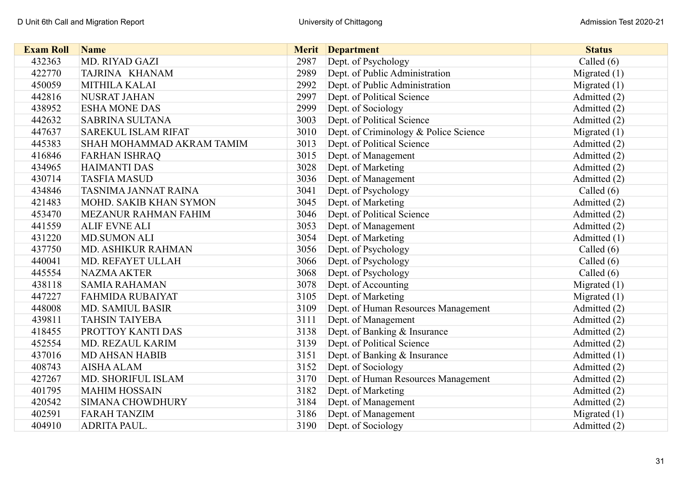| <b>Exam Roll</b> | <b>Name</b>                |      | <b>Merit</b> Department               | <b>Status</b>  |
|------------------|----------------------------|------|---------------------------------------|----------------|
| 432363           | MD. RIYAD GAZI             | 2987 | Dept. of Psychology                   | Called $(6)$   |
| 422770           | TAJRINA KHANAM             | 2989 | Dept. of Public Administration        | Migrated $(1)$ |
| 450059           | MITHILA KALAI              | 2992 | Dept. of Public Administration        | Migrated $(1)$ |
| 442816           | <b>NUSRAT JAHAN</b>        | 2997 | Dept. of Political Science            | Admitted (2)   |
| 438952           | <b>ESHA MONE DAS</b>       | 2999 | Dept. of Sociology                    | Admitted (2)   |
| 442632           | <b>SABRINA SULTANA</b>     | 3003 | Dept. of Political Science            | Admitted (2)   |
| 447637           | <b>SAREKUL ISLAM RIFAT</b> | 3010 | Dept. of Criminology & Police Science | Migrated $(1)$ |
| 445383           | SHAH MOHAMMAD AKRAM TAMIM  | 3013 | Dept. of Political Science            | Admitted (2)   |
| 416846           | <b>FARHAN ISHRAQ</b>       | 3015 | Dept. of Management                   | Admitted (2)   |
| 434965           | <b>HAIMANTI DAS</b>        | 3028 | Dept. of Marketing                    | Admitted (2)   |
| 430714           | <b>TASFIA MASUD</b>        | 3036 | Dept. of Management                   | Admitted (2)   |
| 434846           | TASNIMA JANNAT RAINA       | 3041 | Dept. of Psychology                   | Called $(6)$   |
| 421483           | MOHD. SAKIB KHAN SYMON     | 3045 | Dept. of Marketing                    | Admitted (2)   |
| 453470           | MEZANUR RAHMAN FAHIM       | 3046 | Dept. of Political Science            | Admitted (2)   |
| 441559           | <b>ALIF EVNE ALI</b>       | 3053 | Dept. of Management                   | Admitted (2)   |
| 431220           | <b>MD.SUMON ALI</b>        | 3054 | Dept. of Marketing                    | Admitted (1)   |
| 437750           | MD. ASHIKUR RAHMAN         | 3056 | Dept. of Psychology                   | Called $(6)$   |
| 440041           | MD. REFAYET ULLAH          | 3066 | Dept. of Psychology                   | Called $(6)$   |
| 445554           | <b>NAZMA AKTER</b>         | 3068 | Dept. of Psychology                   | Called $(6)$   |
| 438118           | <b>SAMIA RAHAMAN</b>       | 3078 | Dept. of Accounting                   | Migrated $(1)$ |
| 447227           | <b>FAHMIDA RUBAIYAT</b>    | 3105 | Dept. of Marketing                    | Migrated $(1)$ |
| 448008           | <b>MD. SAMIUL BASIR</b>    | 3109 | Dept. of Human Resources Management   | Admitted (2)   |
| 439811           | <b>TAHSIN TAIYEBA</b>      | 3111 | Dept. of Management                   | Admitted (2)   |
| 418455           | PROTTOY KANTI DAS          | 3138 | Dept. of Banking & Insurance          | Admitted (2)   |
| 452554           | MD. REZAUL KARIM           | 3139 | Dept. of Political Science            | Admitted (2)   |
| 437016           | <b>MD AHSAN HABIB</b>      | 3151 | Dept. of Banking & Insurance          | Admitted (1)   |
| 408743           | <b>AISHA ALAM</b>          | 3152 | Dept. of Sociology                    | Admitted (2)   |
| 427267           | MD. SHORIFUL ISLAM         | 3170 | Dept. of Human Resources Management   | Admitted (2)   |
| 401795           | <b>MAHIM HOSSAIN</b>       | 3182 | Dept. of Marketing                    | Admitted (2)   |
| 420542           | <b>SIMANA CHOWDHURY</b>    | 3184 | Dept. of Management                   | Admitted (2)   |
| 402591           | <b>FARAH TANZIM</b>        | 3186 | Dept. of Management                   | Migrated $(1)$ |
| 404910           | ADRITA PAUL.               | 3190 | Dept. of Sociology                    | Admitted (2)   |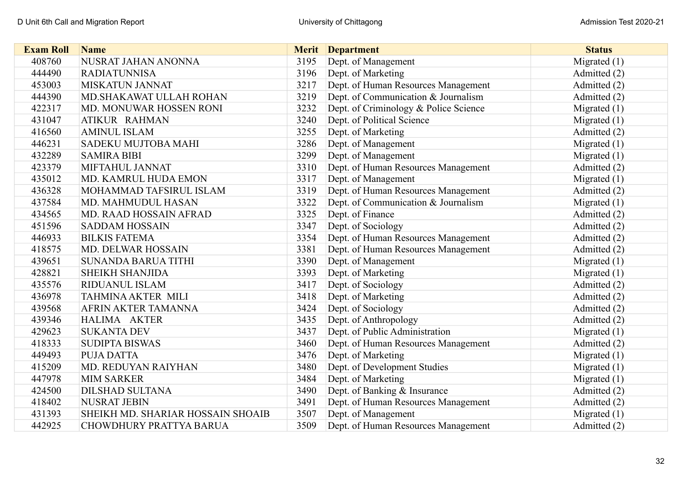| <b>Exam Roll</b> | <b>Name</b>                       | <b>Merit</b> | <b>Department</b>                     | <b>Status</b>  |
|------------------|-----------------------------------|--------------|---------------------------------------|----------------|
| 408760           | NUSRAT JAHAN ANONNA               | 3195         | Dept. of Management                   | Migrated $(1)$ |
| 444490           | <b>RADIATUNNISA</b>               | 3196         | Dept. of Marketing                    | Admitted (2)   |
| 453003           | <b>MISKATUN JANNAT</b>            | 3217         | Dept. of Human Resources Management   | Admitted (2)   |
| 444390           | MD. SHAKAWAT ULLAH ROHAN          | 3219         | Dept. of Communication & Journalism   | Admitted (2)   |
| 422317           | MD. MONUWAR HOSSEN RONI           | 3232         | Dept. of Criminology & Police Science | Migrated $(1)$ |
| 431047           | ATIKUR RAHMAN                     | 3240         | Dept. of Political Science            | Migrated $(1)$ |
| 416560           | <b>AMINUL ISLAM</b>               | 3255         | Dept. of Marketing                    | Admitted (2)   |
| 446231           | SADEKU MUJTOBA MAHI               | 3286         | Dept. of Management                   | Migrated $(1)$ |
| 432289           | <b>SAMIRA BIBI</b>                | 3299         | Dept. of Management                   | Migrated $(1)$ |
| 423379           | MIFTAHUL JANNAT                   | 3310         | Dept. of Human Resources Management   | Admitted (2)   |
| 435012           | MD. KAMRUL HUDA EMON              | 3317         | Dept. of Management                   | Migrated $(1)$ |
| 436328           | MOHAMMAD TAFSIRUL ISLAM           | 3319         | Dept. of Human Resources Management   | Admitted (2)   |
| 437584           | MD. MAHMUDUL HASAN                | 3322         | Dept. of Communication & Journalism   | Migrated $(1)$ |
| 434565           | MD. RAAD HOSSAIN AFRAD            | 3325         | Dept. of Finance                      | Admitted (2)   |
| 451596           | <b>SADDAM HOSSAIN</b>             | 3347         | Dept. of Sociology                    | Admitted (2)   |
| 446933           | <b>BILKIS FATEMA</b>              | 3354         | Dept. of Human Resources Management   | Admitted (2)   |
| 418575           | MD. DELWAR HOSSAIN                | 3381         | Dept. of Human Resources Management   | Admitted (2)   |
| 439651           | <b>SUNANDA BARUA TITHI</b>        | 3390         | Dept. of Management                   | Migrated $(1)$ |
| 428821           | <b>SHEIKH SHANJIDA</b>            | 3393         | Dept. of Marketing                    | Migrated $(1)$ |
| 435576           | RIDUANUL ISLAM                    | 3417         | Dept. of Sociology                    | Admitted (2)   |
| 436978           | <b>TAHMINA AKTER MILI</b>         | 3418         | Dept. of Marketing                    | Admitted (2)   |
| 439568           | AFRIN AKTER TAMANNA               | 3424         | Dept. of Sociology                    | Admitted (2)   |
| 439346           | HALIMA AKTER                      | 3435         | Dept. of Anthropology                 | Admitted (2)   |
| 429623           | <b>SUKANTA DEV</b>                | 3437         | Dept. of Public Administration        | Migrated $(1)$ |
| 418333           | <b>SUDIPTA BISWAS</b>             | 3460         | Dept. of Human Resources Management   | Admitted (2)   |
| 449493           | <b>PUJA DATTA</b>                 | 3476         | Dept. of Marketing                    | Migrated $(1)$ |
| 415209           | MD. REDUYAN RAIYHAN               | 3480         | Dept. of Development Studies          | Migrated $(1)$ |
| 447978           | <b>MIM SARKER</b>                 | 3484         | Dept. of Marketing                    | Migrated $(1)$ |
| 424500           | <b>DILSHAD SULTANA</b>            | 3490         | Dept. of Banking & Insurance          | Admitted (2)   |
| 418402           | <b>NUSRAT JEBIN</b>               | 3491         | Dept. of Human Resources Management   | Admitted (2)   |
| 431393           | SHEIKH MD. SHARIAR HOSSAIN SHOAIB | 3507         | Dept. of Management                   | Migrated $(1)$ |
| 442925           | <b>CHOWDHURY PRATTYA BARUA</b>    | 3509         | Dept. of Human Resources Management   | Admitted (2)   |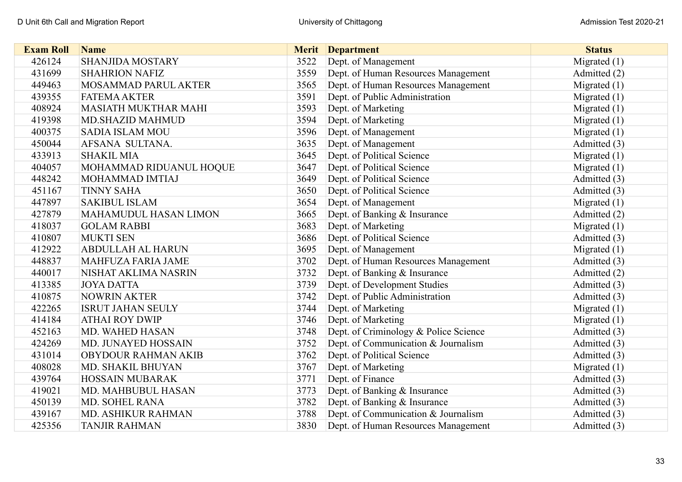| <b>Exam Roll</b> | <b>Name</b>                  | <b>Merit</b> | <b>Department</b>                     | <b>Status</b>  |
|------------------|------------------------------|--------------|---------------------------------------|----------------|
| 426124           | <b>SHANJIDA MOSTARY</b>      | 3522         | Dept. of Management                   | Migrated $(1)$ |
| 431699           | <b>SHAHRION NAFIZ</b>        | 3559         | Dept. of Human Resources Management   | Admitted (2)   |
| 449463           | MOSAMMAD PARUL AKTER         | 3565         | Dept. of Human Resources Management   | Migrated $(1)$ |
| 439355           | <b>FATEMA AKTER</b>          | 3591         | Dept. of Public Administration        | Migrated $(1)$ |
| 408924           | <b>MASIATH MUKTHAR MAHI</b>  | 3593         | Dept. of Marketing                    | Migrated $(1)$ |
| 419398           | <b>MD.SHAZID MAHMUD</b>      | 3594         | Dept. of Marketing                    | Migrated $(1)$ |
| 400375           | <b>SADIA ISLAM MOU</b>       | 3596         | Dept. of Management                   | Migrated $(1)$ |
| 450044           | AFSANA SULTANA.              | 3635         | Dept. of Management                   | Admitted (3)   |
| 433913           | <b>SHAKIL MIA</b>            | 3645         | Dept. of Political Science            | Migrated $(1)$ |
| 404057           | MOHAMMAD RIDUANUL HOQUE      | 3647         | Dept. of Political Science            | Migrated $(1)$ |
| 448242           | MOHAMMAD IMTIAJ              | 3649         | Dept. of Political Science            | Admitted (3)   |
| 451167           | <b>TINNY SAHA</b>            | 3650         | Dept. of Political Science            | Admitted (3)   |
| 447897           | <b>SAKIBUL ISLAM</b>         | 3654         | Dept. of Management                   | Migrated $(1)$ |
| 427879           | <b>MAHAMUDUL HASAN LIMON</b> | 3665         | Dept. of Banking & Insurance          | Admitted (2)   |
| 418037           | <b>GOLAM RABBI</b>           | 3683         | Dept. of Marketing                    | Migrated $(1)$ |
| 410807           | <b>MUKTI SEN</b>             | 3686         | Dept. of Political Science            | Admitted (3)   |
| 412922           | <b>ABDULLAH AL HARUN</b>     | 3695         | Dept. of Management                   | Migrated $(1)$ |
| 448837           | MAHFUZA FARIA JAME           | 3702         | Dept. of Human Resources Management   | Admitted (3)   |
| 440017           | NISHAT AKLIMA NASRIN         | 3732         | Dept. of Banking & Insurance          | Admitted (2)   |
| 413385           | <b>JOYA DATTA</b>            | 3739         | Dept. of Development Studies          | Admitted (3)   |
| 410875           | <b>NOWRIN AKTER</b>          | 3742         | Dept. of Public Administration        | Admitted (3)   |
| 422265           | <b>ISRUT JAHAN SEULY</b>     | 3744         | Dept. of Marketing                    | Migrated $(1)$ |
| 414184           | <b>ATHAI ROY DWIP</b>        | 3746         | Dept. of Marketing                    | Migrated $(1)$ |
| 452163           | MD. WAHED HASAN              | 3748         | Dept. of Criminology & Police Science | Admitted (3)   |
| 424269           | MD. JUNAYED HOSSAIN          | 3752         | Dept. of Communication & Journalism   | Admitted (3)   |
| 431014           | <b>OBYDOUR RAHMAN AKIB</b>   | 3762         | Dept. of Political Science            | Admitted (3)   |
| 408028           | MD. SHAKIL BHUYAN            | 3767         | Dept. of Marketing                    | Migrated $(1)$ |
| 439764           | <b>HOSSAIN MUBARAK</b>       | 3771         | Dept. of Finance                      | Admitted (3)   |
| 419021           | MD. MAHBUBUL HASAN           | 3773         | Dept. of Banking & Insurance          | Admitted (3)   |
| 450139           | MD. SOHEL RANA               | 3782         | Dept. of Banking & Insurance          | Admitted (3)   |
| 439167           | MD. ASHIKUR RAHMAN           | 3788         | Dept. of Communication & Journalism   | Admitted (3)   |
| 425356           | <b>TANJIR RAHMAN</b>         | 3830         | Dept. of Human Resources Management   | Admitted (3)   |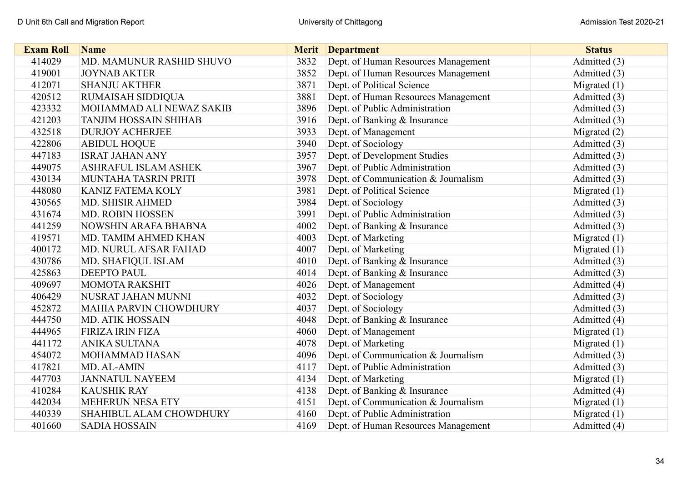| <b>Exam Roll</b> | <b>Name</b>                   |      | <b>Merit</b> Department             | <b>Status</b>  |
|------------------|-------------------------------|------|-------------------------------------|----------------|
| 414029           | MD. MAMUNUR RASHID SHUVO      | 3832 | Dept. of Human Resources Management | Admitted (3)   |
| 419001           | <b>JOYNAB AKTER</b>           | 3852 | Dept. of Human Resources Management | Admitted (3)   |
| 412071           | <b>SHANJU AKTHER</b>          | 3871 | Dept. of Political Science          | Migrated $(1)$ |
| 420512           | RUMAISAH SIDDIQUA             | 3881 | Dept. of Human Resources Management | Admitted (3)   |
| 423332           | MOHAMMAD ALI NEWAZ SAKIB      | 3896 | Dept. of Public Administration      | Admitted (3)   |
| 421203           | <b>TANJIM HOSSAIN SHIHAB</b>  | 3916 | Dept. of Banking & Insurance        | Admitted (3)   |
| 432518           | <b>DURJOY ACHERJEE</b>        | 3933 | Dept. of Management                 | Migrated $(2)$ |
| 422806           | <b>ABIDUL HOQUE</b>           | 3940 | Dept. of Sociology                  | Admitted (3)   |
| 447183           | <b>ISRAT JAHAN ANY</b>        | 3957 | Dept. of Development Studies        | Admitted (3)   |
| 449075           | <b>ASHRAFUL ISLAM ASHEK</b>   | 3967 | Dept. of Public Administration      | Admitted (3)   |
| 430134           | MUNTAHA TASRIN PRITI          | 3978 | Dept. of Communication & Journalism | Admitted (3)   |
| 448080           | <b>KANIZ FATEMA KOLY</b>      | 3981 | Dept. of Political Science          | Migrated $(1)$ |
| 430565           | MD. SHISIR AHMED              | 3984 | Dept. of Sociology                  | Admitted (3)   |
| 431674           | <b>MD. ROBIN HOSSEN</b>       | 3991 | Dept. of Public Administration      | Admitted (3)   |
| 441259           | NOWSHIN ARAFA BHABNA          | 4002 | Dept. of Banking & Insurance        | Admitted (3)   |
| 419571           | MD. TAMIM AHMED KHAN          | 4003 | Dept. of Marketing                  | Migrated $(1)$ |
| 400172           | MD. NURUL AFSAR FAHAD         | 4007 | Dept. of Marketing                  | Migrated (1)   |
| 430786           | MD. SHAFIQUL ISLAM            | 4010 | Dept. of Banking & Insurance        | Admitted (3)   |
| 425863           | <b>DEEPTO PAUL</b>            | 4014 | Dept. of Banking & Insurance        | Admitted (3)   |
| 409697           | <b>MOMOTA RAKSHIT</b>         | 4026 | Dept. of Management                 | Admitted (4)   |
| 406429           | NUSRAT JAHAN MUNNI            | 4032 | Dept. of Sociology                  | Admitted (3)   |
| 452872           | <b>MAHIA PARVIN CHOWDHURY</b> | 4037 | Dept. of Sociology                  | Admitted (3)   |
| 444750           | <b>MD. ATIK HOSSAIN</b>       | 4048 | Dept. of Banking & Insurance        | Admitted (4)   |
| 444965           | <b>FIRIZA IRIN FIZA</b>       | 4060 | Dept. of Management                 | Migrated $(1)$ |
| 441172           | <b>ANIKA SULTANA</b>          | 4078 | Dept. of Marketing                  | Migrated $(1)$ |
| 454072           | MOHAMMAD HASAN                | 4096 | Dept. of Communication & Journalism | Admitted (3)   |
| 417821           | MD. AL-AMIN                   | 4117 | Dept. of Public Administration      | Admitted (3)   |
| 447703           | <b>JANNATUL NAYEEM</b>        | 4134 | Dept. of Marketing                  | Migrated $(1)$ |
| 410284           | <b>KAUSHIK RAY</b>            | 4138 | Dept. of Banking & Insurance        | Admitted (4)   |
| 442034           | <b>MEHERUN NESA ETY</b>       | 4151 | Dept. of Communication & Journalism | Migrated $(1)$ |
| 440339           | SHAHIBUL ALAM CHOWDHURY       | 4160 | Dept. of Public Administration      | Migrated $(1)$ |
| 401660           | <b>SADIA HOSSAIN</b>          | 4169 | Dept. of Human Resources Management | Admitted (4)   |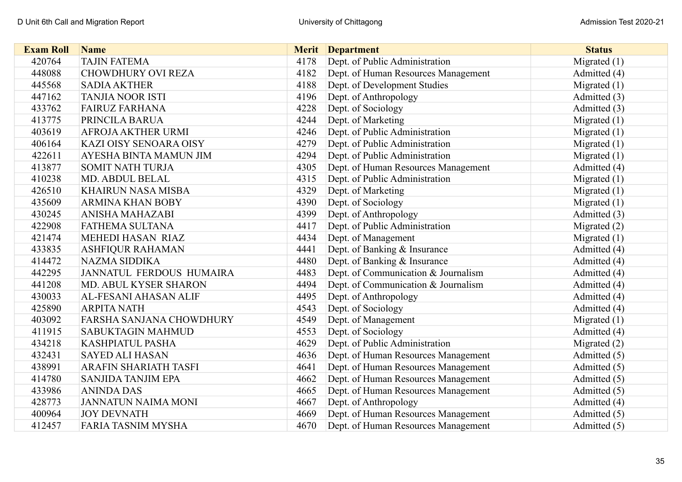| <b>Exam Roll</b> | <b>Name</b>                     | <b>Merit</b> | <b>Department</b>                   | <b>Status</b>  |
|------------------|---------------------------------|--------------|-------------------------------------|----------------|
| 420764           | <b>TAJIN FATEMA</b>             | 4178         | Dept. of Public Administration      | Migrated (1)   |
| 448088           | <b>CHOWDHURY OVI REZA</b>       | 4182         | Dept. of Human Resources Management | Admitted (4)   |
| 445568           | <b>SADIA AKTHER</b>             | 4188         | Dept. of Development Studies        | Migrated $(1)$ |
| 447162           | <b>TANJIA NOOR ISTI</b>         | 4196         | Dept. of Anthropology               | Admitted (3)   |
| 433762           | <b>FAIRUZ FARHANA</b>           | 4228         | Dept. of Sociology                  | Admitted (3)   |
| 413775           | PRINCILA BARUA                  | 4244         | Dept. of Marketing                  | Migrated $(1)$ |
| 403619           | <b>AFROJA AKTHER URMI</b>       | 4246         | Dept. of Public Administration      | Migrated $(1)$ |
| 406164           | KAZI OISY SENOARA OISY          | 4279         | Dept. of Public Administration      | Migrated $(1)$ |
| 422611           | AYESHA BINTA MAMUN JIM          | 4294         | Dept. of Public Administration      | Migrated $(1)$ |
| 413877           | <b>SOMIT NATH TURJA</b>         | 4305         | Dept. of Human Resources Management | Admitted (4)   |
| 410238           | MD. ABDUL BELAL                 | 4315         | Dept. of Public Administration      | Migrated $(1)$ |
| 426510           | <b>KHAIRUN NASA MISBA</b>       | 4329         | Dept. of Marketing                  | Migrated $(1)$ |
| 435609           | <b>ARMINA KHAN BOBY</b>         | 4390         | Dept. of Sociology                  | Migrated $(1)$ |
| 430245           | ANISHA MAHAZABI                 | 4399         | Dept. of Anthropology               | Admitted (3)   |
| 422908           | FATHEMA SULTANA                 | 4417         | Dept. of Public Administration      | Migrated (2)   |
| 421474           | MEHEDI HASAN RIAZ               | 4434         | Dept. of Management                 | Migrated $(1)$ |
| 433835           | <b>ASHFIQUR RAHAMAN</b>         | 4441         | Dept. of Banking & Insurance        | Admitted (4)   |
| 414472           | <b>NAZMA SIDDIKA</b>            | 4480         | Dept. of Banking & Insurance        | Admitted (4)   |
| 442295           | JANNATUL FERDOUS HUMAIRA        | 4483         | Dept. of Communication & Journalism | Admitted (4)   |
| 441208           | MD. ABUL KYSER SHARON           | 4494         | Dept. of Communication & Journalism | Admitted (4)   |
| 430033           | <b>AL-FESANI AHASAN ALIF</b>    | 4495         | Dept. of Anthropology               | Admitted (4)   |
| 425890           | <b>ARPITA NATH</b>              | 4543         | Dept. of Sociology                  | Admitted (4)   |
| 403092           | <b>FARSHA SANJANA CHOWDHURY</b> | 4549         | Dept. of Management                 | Migrated $(1)$ |
| 411915           | SABUKTAGIN MAHMUD               | 4553         | Dept. of Sociology                  | Admitted (4)   |
| 434218           | KASHPIATUL PASHA                | 4629         | Dept. of Public Administration      | Migrated $(2)$ |
| 432431           | <b>SAYED ALI HASAN</b>          | 4636         | Dept. of Human Resources Management | Admitted (5)   |
| 438991           | <b>ARAFIN SHARIATH TASFI</b>    | 4641         | Dept. of Human Resources Management | Admitted (5)   |
| 414780           | <b>SANJIDA TANJIM EPA</b>       | 4662         | Dept. of Human Resources Management | Admitted (5)   |
| 433986           | <b>ANINDA DAS</b>               | 4665         | Dept. of Human Resources Management | Admitted (5)   |
| 428773           | <b>JANNATUN NAIMA MONI</b>      | 4667         | Dept. of Anthropology               | Admitted (4)   |
| 400964           | <b>JOY DEVNATH</b>              | 4669         | Dept. of Human Resources Management | Admitted (5)   |
| 412457           | <b>FARIA TASNIM MYSHA</b>       | 4670         | Dept. of Human Resources Management | Admitted (5)   |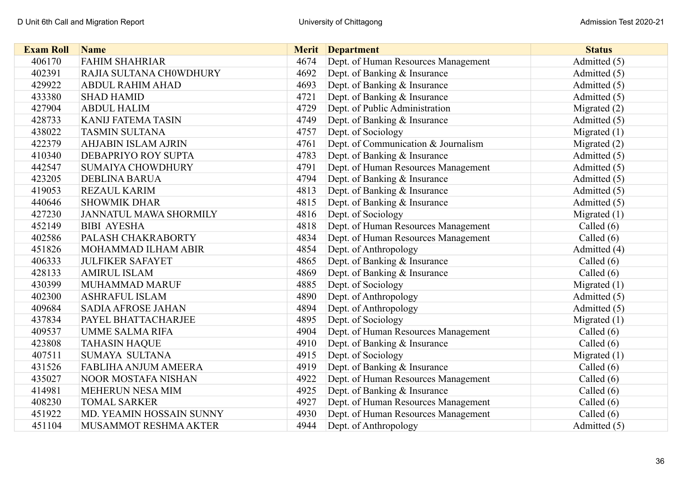| <b>Exam Roll</b> | <b>Name</b>                |      | <b>Merit</b> Department             | <b>Status</b>  |
|------------------|----------------------------|------|-------------------------------------|----------------|
| 406170           | <b>FAHIM SHAHRIAR</b>      | 4674 | Dept. of Human Resources Management | Admitted (5)   |
| 402391           | RAJIA SULTANA CH0WDHURY    | 4692 | Dept. of Banking & Insurance        | Admitted (5)   |
| 429922           | <b>ABDUL RAHIM AHAD</b>    | 4693 | Dept. of Banking & Insurance        | Admitted (5)   |
| 433380           | <b>SHAD HAMID</b>          | 4721 | Dept. of Banking & Insurance        | Admitted (5)   |
| 427904           | <b>ABDUL HALIM</b>         | 4729 | Dept. of Public Administration      | Migrated $(2)$ |
| 428733           | <b>KANIJ FATEMA TASIN</b>  | 4749 | Dept. of Banking & Insurance        | Admitted (5)   |
| 438022           | <b>TASMIN SULTANA</b>      | 4757 | Dept. of Sociology                  | Migrated $(1)$ |
| 422379           | <b>AHJABIN ISLAM AJRIN</b> | 4761 | Dept. of Communication & Journalism | Migrated $(2)$ |
| 410340           | DEBAPRIYO ROY SUPTA        | 4783 | Dept. of Banking & Insurance        | Admitted (5)   |
| 442547           | <b>SUMAIYA CHOWDHURY</b>   | 4791 | Dept. of Human Resources Management | Admitted (5)   |
| 423205           | <b>DEBLINA BARUA</b>       | 4794 | Dept. of Banking & Insurance        | Admitted (5)   |
| 419053           | REZAUL KARIM               | 4813 | Dept. of Banking & Insurance        | Admitted (5)   |
| 440646           | <b>SHOWMIK DHAR</b>        | 4815 | Dept. of Banking & Insurance        | Admitted (5)   |
| 427230           | JANNATUL MAWA SHORMILY     | 4816 | Dept. of Sociology                  | Migrated $(1)$ |
| 452149           | <b>BIBI AYESHA</b>         | 4818 | Dept. of Human Resources Management | Called $(6)$   |
| 402586           | PALASH CHAKRABORTY         | 4834 | Dept. of Human Resources Management | Called $(6)$   |
| 451826           | MOHAMMAD ILHAM ABIR        | 4854 | Dept. of Anthropology               | Admitted (4)   |
| 406333           | <b>JULFIKER SAFAYET</b>    | 4865 | Dept. of Banking & Insurance        | Called $(6)$   |
| 428133           | <b>AMIRUL ISLAM</b>        | 4869 | Dept. of Banking & Insurance        | Called $(6)$   |
| 430399           | <b>MUHAMMAD MARUF</b>      | 4885 | Dept. of Sociology                  | Migrated $(1)$ |
| 402300           | <b>ASHRAFUL ISLAM</b>      | 4890 | Dept. of Anthropology               | Admitted (5)   |
| 409684           | <b>SADIA AFROSE JAHAN</b>  | 4894 | Dept. of Anthropology               | Admitted (5)   |
| 437834           | PAYEL BHATTACHARJEE        | 4895 | Dept. of Sociology                  | Migrated $(1)$ |
| 409537           | <b>UMME SALMA RIFA</b>     | 4904 | Dept. of Human Resources Management | Called $(6)$   |
| 423808           | <b>TAHASIN HAQUE</b>       | 4910 | Dept. of Banking & Insurance        | Called $(6)$   |
| 407511           | <b>SUMAYA SULTANA</b>      | 4915 | Dept. of Sociology                  | Migrated $(1)$ |
| 431526           | FABLIHA ANJUM AMEERA       | 4919 | Dept. of Banking & Insurance        | Called $(6)$   |
| 435027           | NOOR MOSTAFA NISHAN        | 4922 | Dept. of Human Resources Management | Called $(6)$   |
| 414981           | MEHERUN NESA MIM           | 4925 | Dept. of Banking & Insurance        | Called $(6)$   |
| 408230           | <b>TOMAL SARKER</b>        | 4927 | Dept. of Human Resources Management | Called $(6)$   |
| 451922           | MD. YEAMIN HOSSAIN SUNNY   | 4930 | Dept. of Human Resources Management | Called $(6)$   |
| 451104           | MUSAMMOT RESHMA AKTER      | 4944 | Dept. of Anthropology               | Admitted (5)   |